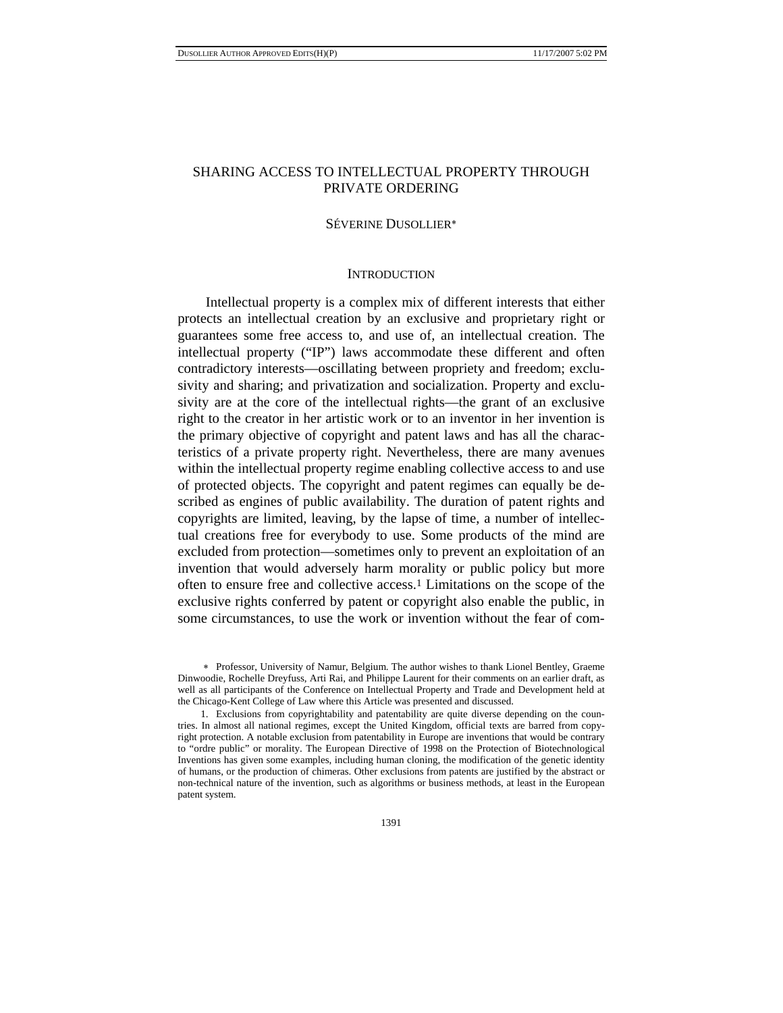# SHARING ACCESS TO INTELLECTUAL PROPERTY THROUGH PRIVATE ORDERING

# SÉVERINE DUSOLLIER∗

# **INTRODUCTION**

Intellectual property is a complex mix of different interests that either protects an intellectual creation by an exclusive and proprietary right or guarantees some free access to, and use of, an intellectual creation. The intellectual property ("IP") laws accommodate these different and often contradictory interests—oscillating between propriety and freedom; exclusivity and sharing; and privatization and socialization. Property and exclusivity are at the core of the intellectual rights—the grant of an exclusive right to the creator in her artistic work or to an inventor in her invention is the primary objective of copyright and patent laws and has all the characteristics of a private property right. Nevertheless, there are many avenues within the intellectual property regime enabling collective access to and use of protected objects. The copyright and patent regimes can equally be described as engines of public availability. The duration of patent rights and copyrights are limited, leaving, by the lapse of time, a number of intellectual creations free for everybody to use. Some products of the mind are excluded from protection—sometimes only to prevent an exploitation of an invention that would adversely harm morality or public policy but more often to ensure free and collective access.1 Limitations on the scope of the exclusive rights conferred by patent or copyright also enable the public, in some circumstances, to use the work or invention without the fear of com-

<sup>∗</sup> Professor, University of Namur, Belgium. The author wishes to thank Lionel Bentley, Graeme Dinwoodie, Rochelle Dreyfuss, Arti Rai, and Philippe Laurent for their comments on an earlier draft, as well as all participants of the Conference on Intellectual Property and Trade and Development held at the Chicago-Kent College of Law where this Article was presented and discussed.

<sup>1.</sup> Exclusions from copyrightability and patentability are quite diverse depending on the countries. In almost all national regimes, except the United Kingdom, official texts are barred from copyright protection. A notable exclusion from patentability in Europe are inventions that would be contrary to "ordre public" or morality. The European Directive of 1998 on the Protection of Biotechnological Inventions has given some examples, including human cloning, the modification of the genetic identity of humans, or the production of chimeras. Other exclusions from patents are justified by the abstract or non-technical nature of the invention, such as algorithms or business methods, at least in the European patent system.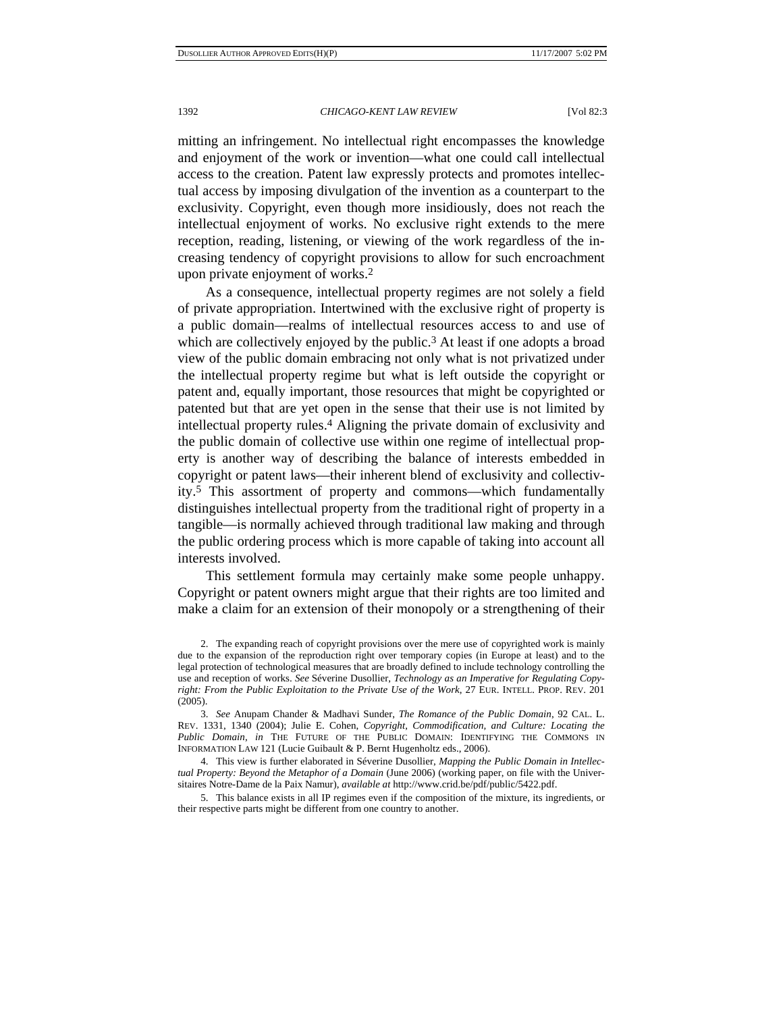mitting an infringement. No intellectual right encompasses the knowledge and enjoyment of the work or invention—what one could call intellectual access to the creation. Patent law expressly protects and promotes intellectual access by imposing divulgation of the invention as a counterpart to the exclusivity. Copyright, even though more insidiously, does not reach the intellectual enjoyment of works. No exclusive right extends to the mere reception, reading, listening, or viewing of the work regardless of the increasing tendency of copyright provisions to allow for such encroachment upon private enjoyment of works.2

As a consequence, intellectual property regimes are not solely a field of private appropriation. Intertwined with the exclusive right of property is a public domain—realms of intellectual resources access to and use of which are collectively enjoyed by the public.<sup>3</sup> At least if one adopts a broad view of the public domain embracing not only what is not privatized under the intellectual property regime but what is left outside the copyright or patent and, equally important, those resources that might be copyrighted or patented but that are yet open in the sense that their use is not limited by intellectual property rules.4 Aligning the private domain of exclusivity and the public domain of collective use within one regime of intellectual property is another way of describing the balance of interests embedded in copyright or patent laws—their inherent blend of exclusivity and collectivity.5 This assortment of property and commons—which fundamentally distinguishes intellectual property from the traditional right of property in a tangible—is normally achieved through traditional law making and through the public ordering process which is more capable of taking into account all interests involved.

This settlement formula may certainly make some people unhappy. Copyright or patent owners might argue that their rights are too limited and make a claim for an extension of their monopoly or a strengthening of their

5. This balance exists in all IP regimes even if the composition of the mixture, its ingredients, or their respective parts might be different from one country to another.

<sup>2.</sup> The expanding reach of copyright provisions over the mere use of copyrighted work is mainly due to the expansion of the reproduction right over temporary copies (in Europe at least) and to the legal protection of technological measures that are broadly defined to include technology controlling the use and reception of works. *See* Séverine Dusollier, *Technology as an Imperative for Regulating Copyright: From the Public Exploitation to the Private Use of the Work*, 27 EUR. INTELL. PROP. REV. 201  $(2005).$ 

<sup>3.</sup> *See* Anupam Chander & Madhavi Sunder, *The Romance of the Public Domain*, 92 CAL. L. REV. 1331, 1340 (2004); Julie E. Cohen, *Copyright, Commodification, and Culture: Locating the Public Domain*, *in* THE FUTURE OF THE PUBLIC DOMAIN: IDENTIFYING THE COMMONS IN INFORMATION LAW 121 (Lucie Guibault & P. Bernt Hugenholtz eds., 2006).

<sup>4.</sup> This view is further elaborated in Séverine Dusollier, *Mapping the Public Domain in Intellectual Property: Beyond the Metaphor of a Domain* (June 2006) (working paper, on file with the Universitaires Notre-Dame de la Paix Namur), *available at* http://www.crid.be/pdf/public/5422.pdf.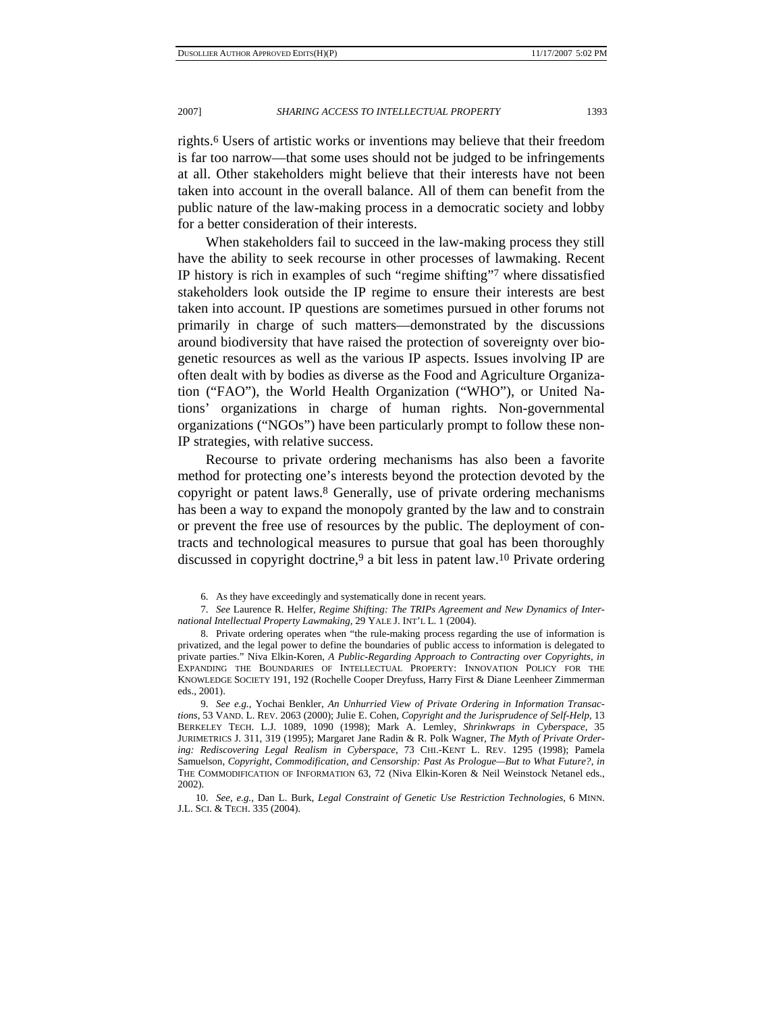rights.6 Users of artistic works or inventions may believe that their freedom is far too narrow—that some uses should not be judged to be infringements at all. Other stakeholders might believe that their interests have not been taken into account in the overall balance. All of them can benefit from the public nature of the law-making process in a democratic society and lobby for a better consideration of their interests.

When stakeholders fail to succeed in the law-making process they still have the ability to seek recourse in other processes of lawmaking. Recent IP history is rich in examples of such "regime shifting"7 where dissatisfied stakeholders look outside the IP regime to ensure their interests are best taken into account. IP questions are sometimes pursued in other forums not primarily in charge of such matters—demonstrated by the discussions around biodiversity that have raised the protection of sovereignty over biogenetic resources as well as the various IP aspects. Issues involving IP are often dealt with by bodies as diverse as the Food and Agriculture Organization ("FAO"), the World Health Organization ("WHO"), or United Nations' organizations in charge of human rights. Non-governmental organizations ("NGOs") have been particularly prompt to follow these non-IP strategies, with relative success.

Recourse to private ordering mechanisms has also been a favorite method for protecting one's interests beyond the protection devoted by the copyright or patent laws.8 Generally, use of private ordering mechanisms has been a way to expand the monopoly granted by the law and to constrain or prevent the free use of resources by the public. The deployment of contracts and technological measures to pursue that goal has been thoroughly discussed in copyright doctrine,<sup>9</sup> a bit less in patent law.<sup>10</sup> Private ordering

8. Private ordering operates when "the rule-making process regarding the use of information is privatized, and the legal power to define the boundaries of public access to information is delegated to private parties." Niva Elkin-Koren, *A Public-Regarding Approach to Contracting over Copyrights*, *in* EXPANDING THE BOUNDARIES OF INTELLECTUAL PROPERTY: INNOVATION POLICY FOR THE KNOWLEDGE SOCIETY 191, 192 (Rochelle Cooper Dreyfuss, Harry First & Diane Leenheer Zimmerman eds., 2001).

9. *See e.g.*, Yochai Benkler, *An Unhurried View of Private Ordering in Information Transactions*, 53 VAND. L. REV. 2063 (2000); Julie E. Cohen, *Copyright and the Jurisprudence of Self-Help*, 13 BERKELEY TECH. L.J. 1089, 1090 (1998); Mark A. Lemley, *Shrinkwraps in Cyberspace*, 35 JURIMETRICS J. 311, 319 (1995); Margaret Jane Radin & R. Polk Wagner, *The Myth of Private Ordering: Rediscovering Legal Realism in Cyberspace*, 73 CHI.-KENT L. REV. 1295 (1998); Pamela Samuelson, *Copyright, Commodification, and Censorship: Past As Prologue—But to What Future?*, *in* THE COMMODIFICATION OF INFORMATION 63, 72 (Niva Elkin-Koren & Neil Weinstock Netanel eds., 2002).

10. *See, e.g.*, Dan L. Burk, *Legal Constraint of Genetic Use Restriction Technologies*, 6 MINN. J.L. SCI. & TECH. 335 (2004).

<sup>6.</sup> As they have exceedingly and systematically done in recent years.

<sup>7.</sup> *See* Laurence R. Helfer, *Regime Shifting: The TRIPs Agreement and New Dynamics of International Intellectual Property Lawmaking*, 29 YALE J. INT'L L. 1 (2004).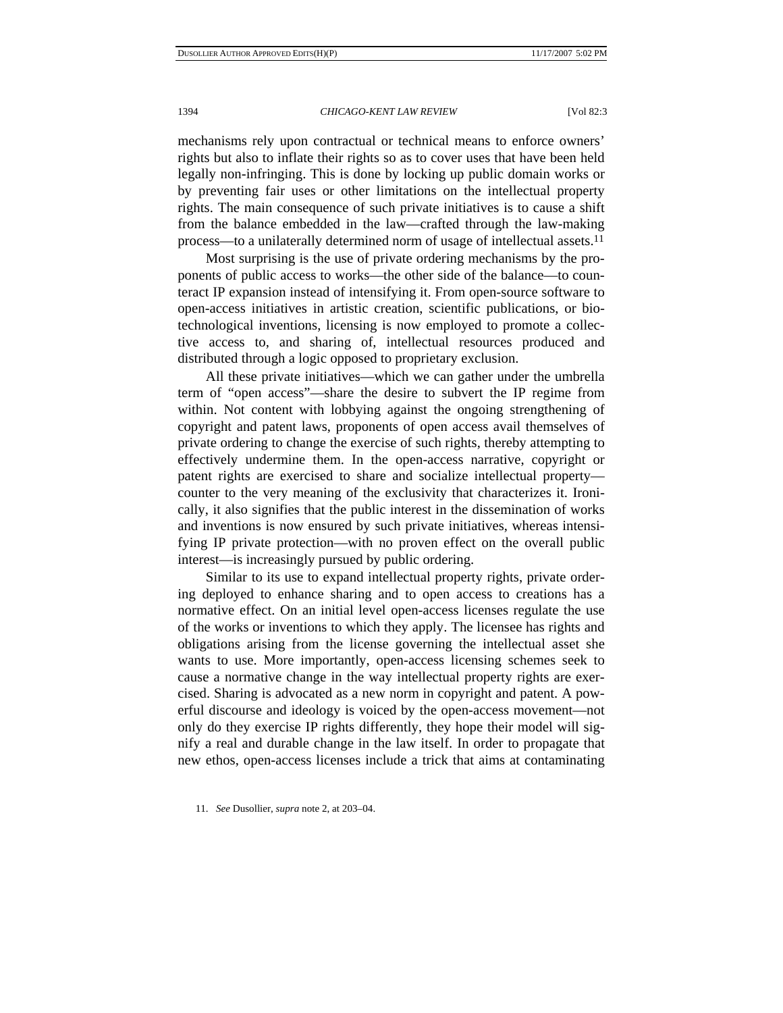mechanisms rely upon contractual or technical means to enforce owners' rights but also to inflate their rights so as to cover uses that have been held legally non-infringing. This is done by locking up public domain works or by preventing fair uses or other limitations on the intellectual property rights. The main consequence of such private initiatives is to cause a shift from the balance embedded in the law—crafted through the law-making process—to a unilaterally determined norm of usage of intellectual assets.11

Most surprising is the use of private ordering mechanisms by the proponents of public access to works—the other side of the balance—to counteract IP expansion instead of intensifying it. From open-source software to open-access initiatives in artistic creation, scientific publications, or biotechnological inventions, licensing is now employed to promote a collective access to, and sharing of, intellectual resources produced and distributed through a logic opposed to proprietary exclusion.

All these private initiatives—which we can gather under the umbrella term of "open access"—share the desire to subvert the IP regime from within. Not content with lobbying against the ongoing strengthening of copyright and patent laws, proponents of open access avail themselves of private ordering to change the exercise of such rights, thereby attempting to effectively undermine them. In the open-access narrative, copyright or patent rights are exercised to share and socialize intellectual property counter to the very meaning of the exclusivity that characterizes it. Ironically, it also signifies that the public interest in the dissemination of works and inventions is now ensured by such private initiatives, whereas intensifying IP private protection—with no proven effect on the overall public interest—is increasingly pursued by public ordering.

Similar to its use to expand intellectual property rights, private ordering deployed to enhance sharing and to open access to creations has a normative effect. On an initial level open-access licenses regulate the use of the works or inventions to which they apply. The licensee has rights and obligations arising from the license governing the intellectual asset she wants to use. More importantly, open-access licensing schemes seek to cause a normative change in the way intellectual property rights are exercised. Sharing is advocated as a new norm in copyright and patent. A powerful discourse and ideology is voiced by the open-access movement—not only do they exercise IP rights differently, they hope their model will signify a real and durable change in the law itself. In order to propagate that new ethos, open-access licenses include a trick that aims at contaminating

<sup>11.</sup> *See* Dusollier, *supra* note 2, at 203–04.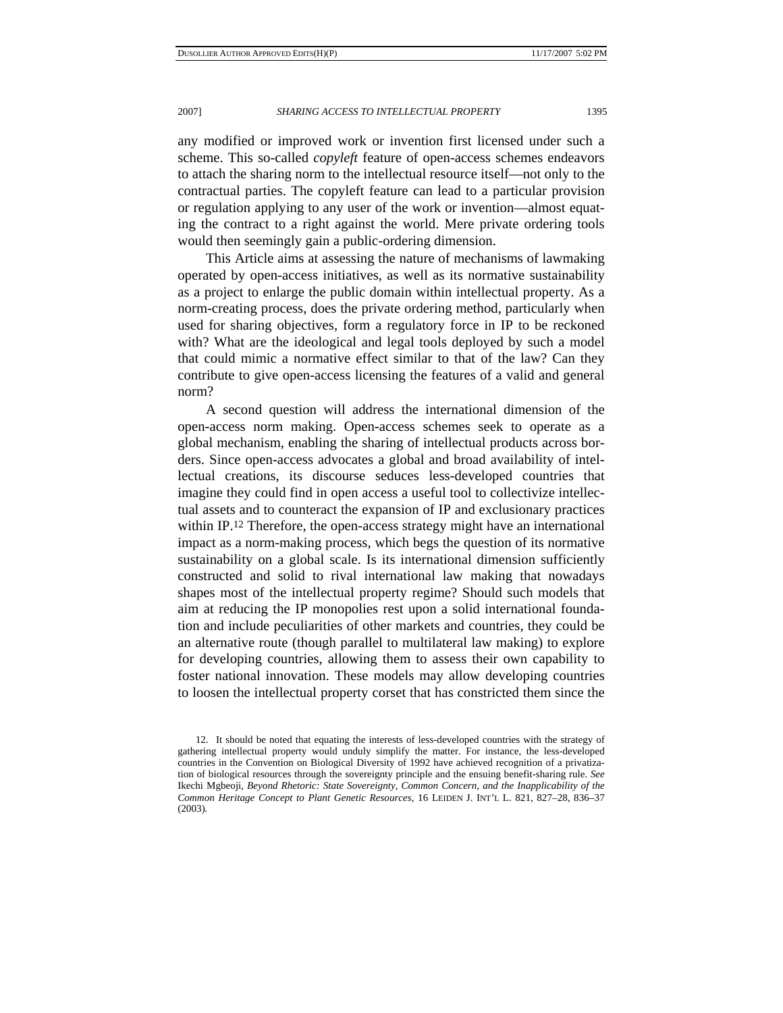any modified or improved work or invention first licensed under such a scheme. This so-called *copyleft* feature of open-access schemes endeavors to attach the sharing norm to the intellectual resource itself—not only to the contractual parties. The copyleft feature can lead to a particular provision or regulation applying to any user of the work or invention—almost equating the contract to a right against the world. Mere private ordering tools would then seemingly gain a public-ordering dimension.

This Article aims at assessing the nature of mechanisms of lawmaking operated by open-access initiatives, as well as its normative sustainability as a project to enlarge the public domain within intellectual property. As a norm-creating process, does the private ordering method, particularly when used for sharing objectives, form a regulatory force in IP to be reckoned with? What are the ideological and legal tools deployed by such a model that could mimic a normative effect similar to that of the law? Can they contribute to give open-access licensing the features of a valid and general norm?

A second question will address the international dimension of the open-access norm making. Open-access schemes seek to operate as a global mechanism, enabling the sharing of intellectual products across borders. Since open-access advocates a global and broad availability of intellectual creations, its discourse seduces less-developed countries that imagine they could find in open access a useful tool to collectivize intellectual assets and to counteract the expansion of IP and exclusionary practices within IP.12 Therefore, the open-access strategy might have an international impact as a norm-making process, which begs the question of its normative sustainability on a global scale. Is its international dimension sufficiently constructed and solid to rival international law making that nowadays shapes most of the intellectual property regime? Should such models that aim at reducing the IP monopolies rest upon a solid international foundation and include peculiarities of other markets and countries, they could be an alternative route (though parallel to multilateral law making) to explore for developing countries, allowing them to assess their own capability to foster national innovation. These models may allow developing countries to loosen the intellectual property corset that has constricted them since the

<sup>12.</sup> It should be noted that equating the interests of less-developed countries with the strategy of gathering intellectual property would unduly simplify the matter. For instance, the less-developed countries in the Convention on Biological Diversity of 1992 have achieved recognition of a privatization of biological resources through the sovereignty principle and the ensuing benefit-sharing rule. *See* Ikechi Mgbeoji, *Beyond Rhetoric: State Sovereignty, Common Concern, and the Inapplicability of the Common Heritage Concept to Plant Genetic Resources*, 16 LEIDEN J. INT'L L. 821, 827–28, 836–37 (2003)*.*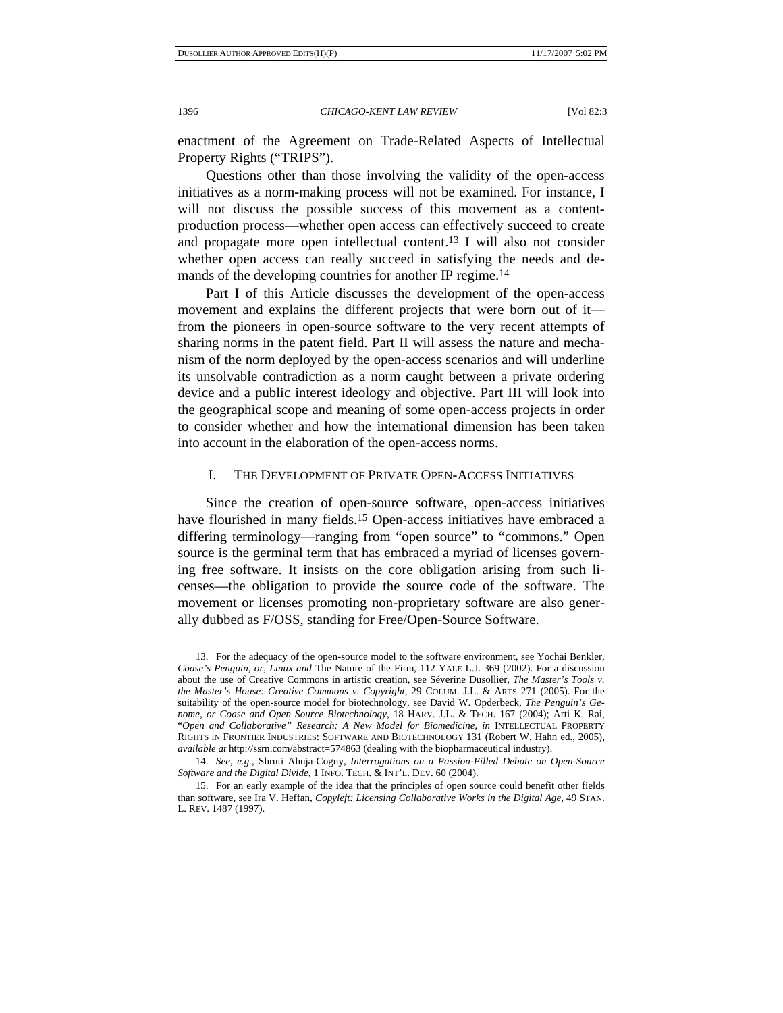enactment of the Agreement on Trade-Related Aspects of Intellectual Property Rights ("TRIPS").

Questions other than those involving the validity of the open-access initiatives as a norm-making process will not be examined. For instance, I will not discuss the possible success of this movement as a contentproduction process—whether open access can effectively succeed to create and propagate more open intellectual content.13 I will also not consider whether open access can really succeed in satisfying the needs and demands of the developing countries for another IP regime.<sup>14</sup>

Part I of this Article discusses the development of the open-access movement and explains the different projects that were born out of it from the pioneers in open-source software to the very recent attempts of sharing norms in the patent field. Part II will assess the nature and mechanism of the norm deployed by the open-access scenarios and will underline its unsolvable contradiction as a norm caught between a private ordering device and a public interest ideology and objective. Part III will look into the geographical scope and meaning of some open-access projects in order to consider whether and how the international dimension has been taken into account in the elaboration of the open-access norms.

### I. THE DEVELOPMENT OF PRIVATE OPEN-ACCESS INITIATIVES

Since the creation of open-source software, open-access initiatives have flourished in many fields.<sup>15</sup> Open-access initiatives have embraced a differing terminology—ranging from "open source" to "commons." Open source is the germinal term that has embraced a myriad of licenses governing free software. It insists on the core obligation arising from such licenses—the obligation to provide the source code of the software. The movement or licenses promoting non-proprietary software are also generally dubbed as F/OSS, standing for Free/Open-Source Software.

<sup>13.</sup> For the adequacy of the open-source model to the software environment, see Yochai Benkler, *Coase's Penguin, or, Linux and* The Nature of the Firm, 112 YALE L.J. 369 (2002). For a discussion about the use of Creative Commons in artistic creation, see Séverine Dusollier, *The Master's Tools v. the Master's House: Creative Commons v. Copyright*, 29 COLUM. J.L. & ARTS 271 (2005). For the suitability of the open-source model for biotechnology, see David W. Opderbeck, *The Penguin's Genome, or Coase and Open Source Biotechnology*, 18 HARV. J.L. & TECH. 167 (2004); Arti K. Rai, "*Open and Collaborative" Research: A New Model for Biomedicine*, *in* INTELLECTUAL PROPERTY RIGHTS IN FRONTIER INDUSTRIES: SOFTWARE AND BIOTECHNOLOGY 131 (Robert W. Hahn ed., 2005), *available at* http://ssrn.com/abstract=574863 (dealing with the biopharmaceutical industry).

<sup>14.</sup> *See, e.g.*, Shruti Ahuja-Cogny, *Interrogations on a Passion-Filled Debate on Open-Source Software and the Digital Divide*, 1 INFO. TECH. & INT'L. DEV. 60 (2004).

<sup>15.</sup> For an early example of the idea that the principles of open source could benefit other fields than software, see Ira V. Heffan, *Copyleft: Licensing Collaborative Works in the Digital Age*, 49 STAN. L. REV. 1487 (1997).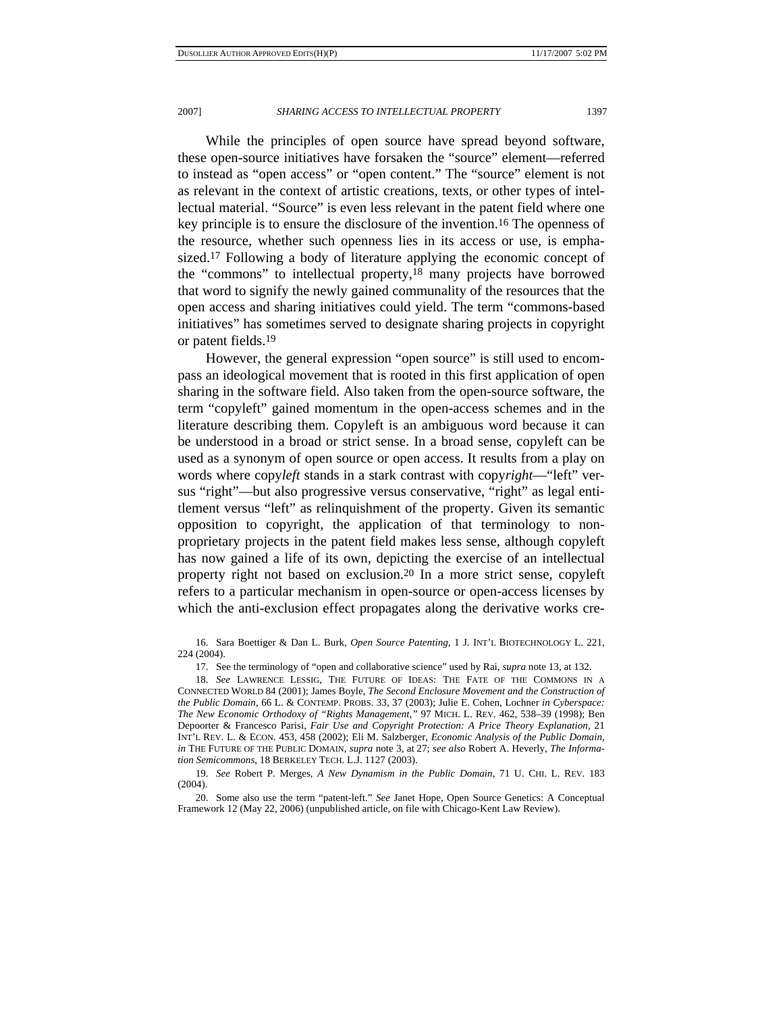While the principles of open source have spread beyond software, these open-source initiatives have forsaken the "source" element—referred to instead as "open access" or "open content." The "source" element is not as relevant in the context of artistic creations, texts, or other types of intellectual material. "Source" is even less relevant in the patent field where one key principle is to ensure the disclosure of the invention.16 The openness of the resource, whether such openness lies in its access or use, is emphasized.17 Following a body of literature applying the economic concept of the "commons" to intellectual property,18 many projects have borrowed that word to signify the newly gained communality of the resources that the open access and sharing initiatives could yield. The term "commons-based initiatives" has sometimes served to designate sharing projects in copyright or patent fields.19

However, the general expression "open source" is still used to encompass an ideological movement that is rooted in this first application of open sharing in the software field. Also taken from the open-source software, the term "copyleft" gained momentum in the open-access schemes and in the literature describing them. Copyleft is an ambiguous word because it can be understood in a broad or strict sense. In a broad sense, copyleft can be used as a synonym of open source or open access. It results from a play on words where copy*left* stands in a stark contrast with copy*right*—"left" versus "right"—but also progressive versus conservative, "right" as legal entitlement versus "left" as relinquishment of the property. Given its semantic opposition to copyright, the application of that terminology to nonproprietary projects in the patent field makes less sense, although copyleft has now gained a life of its own, depicting the exercise of an intellectual property right not based on exclusion.20 In a more strict sense, copyleft refers to a particular mechanism in open-source or open-access licenses by which the anti-exclusion effect propagates along the derivative works cre-

16. Sara Boettiger & Dan L. Burk, *Open Source Patenting*, 1 J. INT'L BIOTECHNOLOGY L. 221, 224 (2004).

17. See the terminology of "open and collaborative science" used by Rai, *supra* note 13, at 132.

18. *See* LAWRENCE LESSIG, THE FUTURE OF IDEAS: THE FATE OF THE COMMONS IN A CONNECTED WORLD 84 (2001); James Boyle, *The Second Enclosure Movement and the Construction of the Public Domain*, 66 L. & CONTEMP. PROBS. 33, 37 (2003); Julie E. Cohen, Lochner *in Cyberspace: The New Economic Orthodoxy of "Rights Management*,*"* 97 MICH. L. REV*.* 462, 538–39 (1998); Ben Depoorter & Francesco Parisi, *Fair Use and Copyright Protection: A Price Theory Explanation*, 21 INT'L REV. L. & ECON. 453, 458 (2002); Eli M. Salzberger, *Economic Analysis of the Public Domain*, *in* THE FUTURE OF THE PUBLIC DOMAIN, *supra* note 3, at 27; *see also* Robert A. Heverly, *The Information Semicommons*, 18 BERKELEY TECH. L.J. 1127 (2003).

19. *See* Robert P. Merges, *A New Dynamism in the Public Domain*, 71 U. CHI. L. REV. 183 (2004).

20. Some also use the term "patent-left." *See* Janet Hope, Open Source Genetics: A Conceptual Framework 12 (May 22, 2006) (unpublished article, on file with Chicago-Kent Law Review).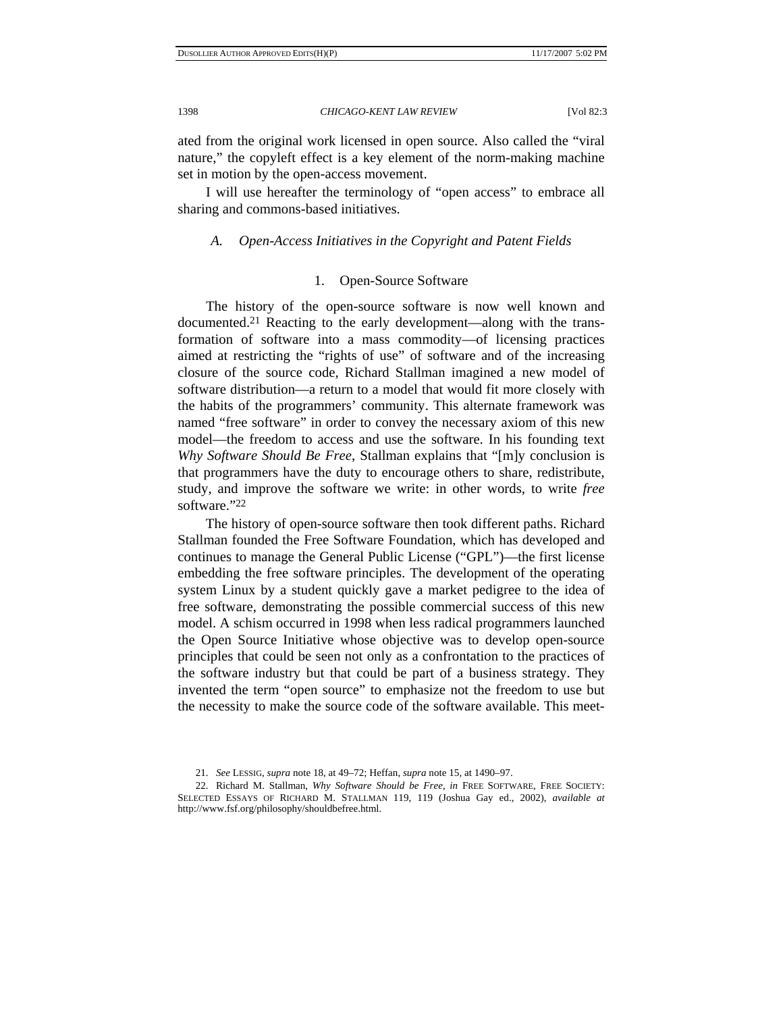ated from the original work licensed in open source. Also called the "viral nature," the copyleft effect is a key element of the norm-making machine set in motion by the open-access movement.

I will use hereafter the terminology of "open access" to embrace all sharing and commons-based initiatives.

# *A. Open-Access Initiatives in the Copyright and Patent Fields*

# 1. Open-Source Software

The history of the open-source software is now well known and documented.21 Reacting to the early development—along with the transformation of software into a mass commodity—of licensing practices aimed at restricting the "rights of use" of software and of the increasing closure of the source code, Richard Stallman imagined a new model of software distribution—a return to a model that would fit more closely with the habits of the programmers' community. This alternate framework was named "free software" in order to convey the necessary axiom of this new model—the freedom to access and use the software. In his founding text *Why Software Should Be Free*, Stallman explains that "[m]y conclusion is that programmers have the duty to encourage others to share, redistribute, study, and improve the software we write: in other words, to write *free* software."22

The history of open-source software then took different paths. Richard Stallman founded the Free Software Foundation, which has developed and continues to manage the General Public License ("GPL")—the first license embedding the free software principles. The development of the operating system Linux by a student quickly gave a market pedigree to the idea of free software, demonstrating the possible commercial success of this new model. A schism occurred in 1998 when less radical programmers launched the Open Source Initiative whose objective was to develop open-source principles that could be seen not only as a confrontation to the practices of the software industry but that could be part of a business strategy. They invented the term "open source" to emphasize not the freedom to use but the necessity to make the source code of the software available. This meet-

<sup>21.</sup> *See* LESSIG, *supra* note 18, at 49–72; Heffan, *supra* note 15, at 1490–97.

<sup>22.</sup> Richard M. Stallman, *Why Software Should be Free*, *in* FREE SOFTWARE, FREE SOCIETY: SELECTED ESSAYS OF RICHARD M. STALLMAN 119, 119 (Joshua Gay ed., 2002), *available at* http://www.fsf.org/philosophy/shouldbefree.html.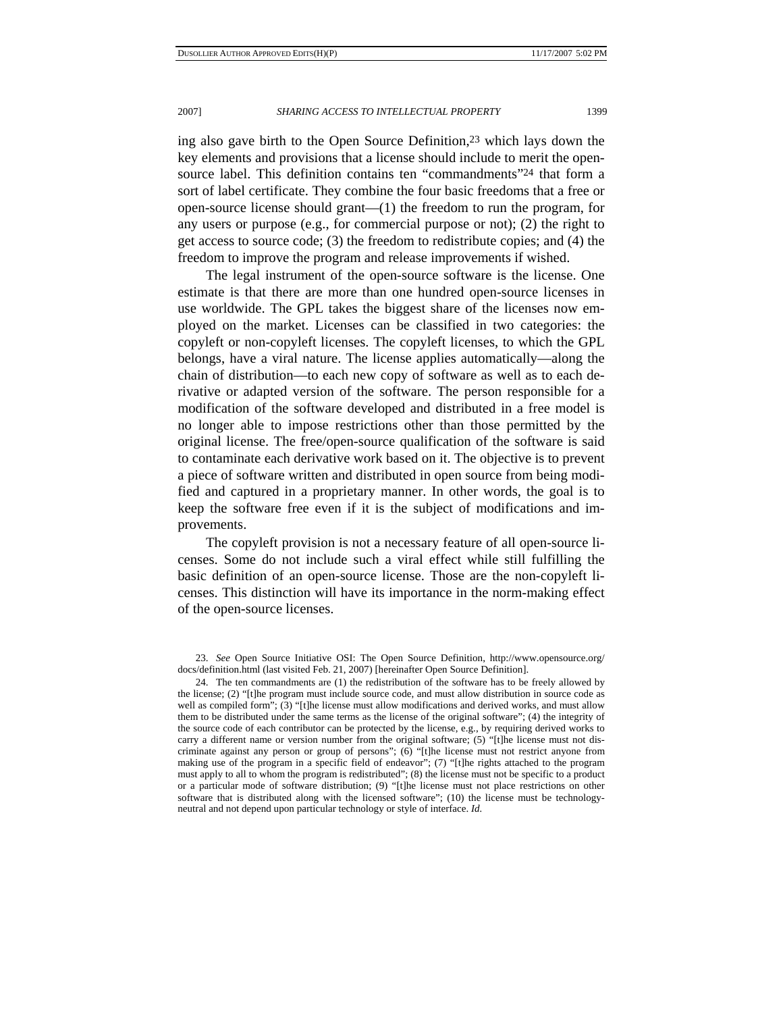ing also gave birth to the Open Source Definition,23 which lays down the key elements and provisions that a license should include to merit the opensource label. This definition contains ten "commandments"24 that form a sort of label certificate. They combine the four basic freedoms that a free or open-source license should grant—(1) the freedom to run the program, for any users or purpose (e.g., for commercial purpose or not); (2) the right to get access to source code; (3) the freedom to redistribute copies; and (4) the freedom to improve the program and release improvements if wished.

The legal instrument of the open-source software is the license. One estimate is that there are more than one hundred open-source licenses in use worldwide. The GPL takes the biggest share of the licenses now employed on the market. Licenses can be classified in two categories: the copyleft or non-copyleft licenses. The copyleft licenses, to which the GPL belongs, have a viral nature. The license applies automatically—along the chain of distribution—to each new copy of software as well as to each derivative or adapted version of the software. The person responsible for a modification of the software developed and distributed in a free model is no longer able to impose restrictions other than those permitted by the original license. The free/open-source qualification of the software is said to contaminate each derivative work based on it. The objective is to prevent a piece of software written and distributed in open source from being modified and captured in a proprietary manner. In other words, the goal is to keep the software free even if it is the subject of modifications and improvements.

The copyleft provision is not a necessary feature of all open-source licenses. Some do not include such a viral effect while still fulfilling the basic definition of an open-source license. Those are the non-copyleft licenses. This distinction will have its importance in the norm-making effect of the open-source licenses.

 <sup>23.</sup> *See* Open Source Initiative OSI: The Open Source Definition, http://www.opensource.org/ docs/definition.html (last visited Feb. 21, 2007) [hereinafter Open Source Definition].

<sup>24.</sup> The ten commandments are (1) the redistribution of the software has to be freely allowed by the license; (2) "[t]he program must include source code, and must allow distribution in source code as well as compiled form"; (3) "[t]he license must allow modifications and derived works, and must allow them to be distributed under the same terms as the license of the original software"; (4) the integrity of the source code of each contributor can be protected by the license, e.g., by requiring derived works to carry a different name or version number from the original software;  $(5)$  "[t]he license must not discriminate against any person or group of persons"; (6) "[t]he license must not restrict anyone from making use of the program in a specific field of endeavor"; (7) "[t]he rights attached to the program must apply to all to whom the program is redistributed"; (8) the license must not be specific to a product or a particular mode of software distribution; (9) "[t]he license must not place restrictions on other software that is distributed along with the licensed software"; (10) the license must be technologyneutral and not depend upon particular technology or style of interface. *Id.*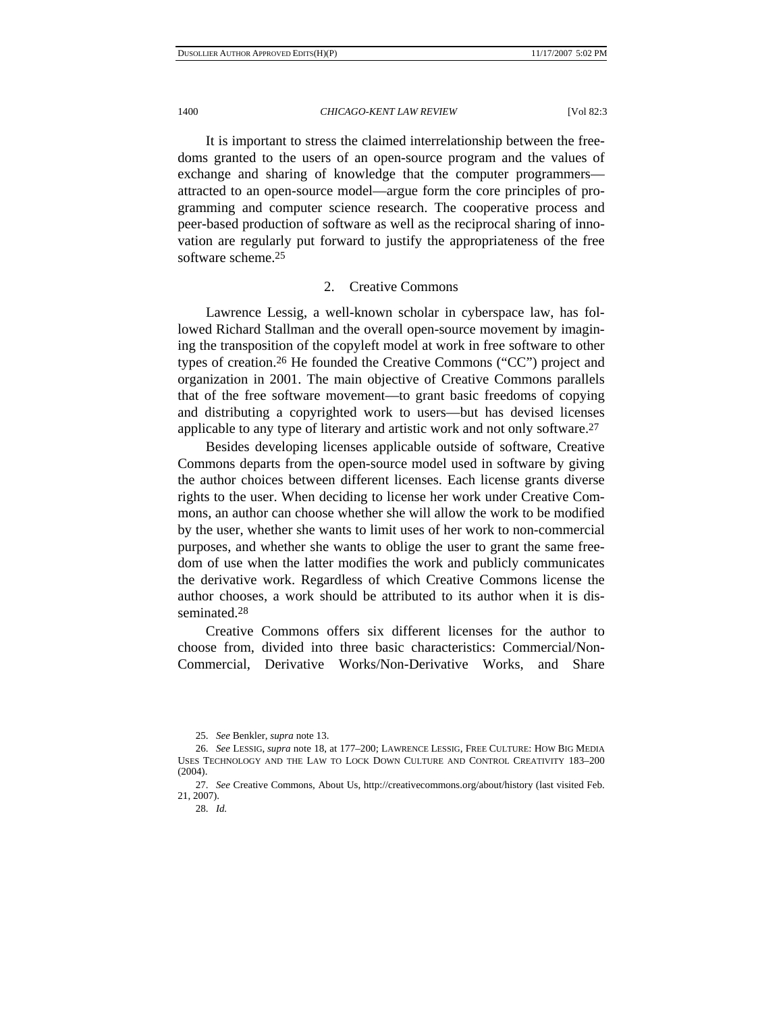It is important to stress the claimed interrelationship between the freedoms granted to the users of an open-source program and the values of exchange and sharing of knowledge that the computer programmers attracted to an open-source model—argue form the core principles of programming and computer science research. The cooperative process and peer-based production of software as well as the reciprocal sharing of innovation are regularly put forward to justify the appropriateness of the free software scheme.25

## 2. Creative Commons

Lawrence Lessig, a well-known scholar in cyberspace law, has followed Richard Stallman and the overall open-source movement by imagining the transposition of the copyleft model at work in free software to other types of creation.26 He founded the Creative Commons ("CC") project and organization in 2001. The main objective of Creative Commons parallels that of the free software movement—to grant basic freedoms of copying and distributing a copyrighted work to users—but has devised licenses applicable to any type of literary and artistic work and not only software.27

Besides developing licenses applicable outside of software, Creative Commons departs from the open-source model used in software by giving the author choices between different licenses. Each license grants diverse rights to the user. When deciding to license her work under Creative Commons, an author can choose whether she will allow the work to be modified by the user, whether she wants to limit uses of her work to non-commercial purposes, and whether she wants to oblige the user to grant the same freedom of use when the latter modifies the work and publicly communicates the derivative work. Regardless of which Creative Commons license the author chooses, a work should be attributed to its author when it is disseminated.28

Creative Commons offers six different licenses for the author to choose from, divided into three basic characteristics: Commercial/Non-Commercial, Derivative Works/Non-Derivative Works, and Share

<sup>25.</sup> *See* Benkler, *supra* note 13.

<sup>26.</sup> *See* LESSIG, *supra* note 18, at 177–200; LAWRENCE LESSIG, FREE CULTURE: HOW BIG MEDIA USES TECHNOLOGY AND THE LAW TO LOCK DOWN CULTURE AND CONTROL CREATIVITY 183–200 (2004).

<sup>27.</sup> *See* Creative Commons, About Us, http://creativecommons.org/about/history (last visited Feb. 21, 2007).

 <sup>28.</sup> *Id.*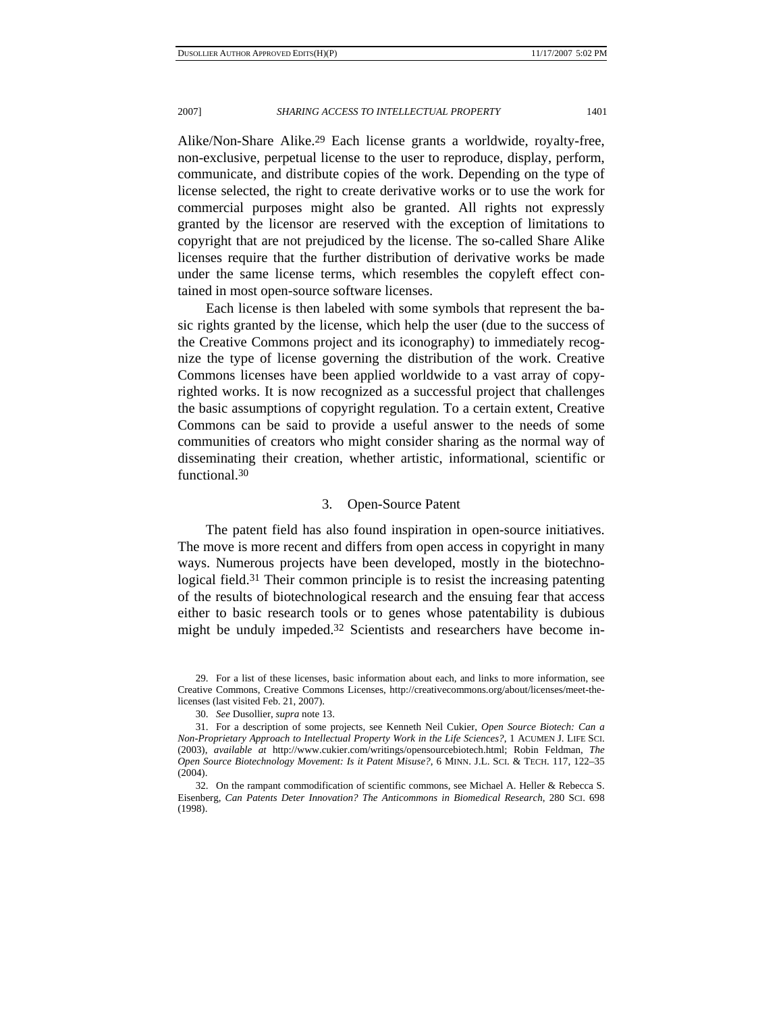Alike/Non-Share Alike.29 Each license grants a worldwide, royalty-free, non-exclusive, perpetual license to the user to reproduce, display, perform, communicate, and distribute copies of the work. Depending on the type of license selected, the right to create derivative works or to use the work for commercial purposes might also be granted. All rights not expressly granted by the licensor are reserved with the exception of limitations to copyright that are not prejudiced by the license. The so-called Share Alike licenses require that the further distribution of derivative works be made under the same license terms, which resembles the copyleft effect contained in most open-source software licenses.

Each license is then labeled with some symbols that represent the basic rights granted by the license, which help the user (due to the success of the Creative Commons project and its iconography) to immediately recognize the type of license governing the distribution of the work. Creative Commons licenses have been applied worldwide to a vast array of copyrighted works. It is now recognized as a successful project that challenges the basic assumptions of copyright regulation. To a certain extent, Creative Commons can be said to provide a useful answer to the needs of some communities of creators who might consider sharing as the normal way of disseminating their creation, whether artistic, informational, scientific or functional.30

# 3. Open-Source Patent

The patent field has also found inspiration in open-source initiatives. The move is more recent and differs from open access in copyright in many ways. Numerous projects have been developed, mostly in the biotechnological field.<sup>31</sup> Their common principle is to resist the increasing patenting of the results of biotechnological research and the ensuing fear that access either to basic research tools or to genes whose patentability is dubious might be unduly impeded.32 Scientists and researchers have become in-

 <sup>29.</sup> For a list of these licenses, basic information about each, and links to more information, see Creative Commons, Creative Commons Licenses, http://creativecommons.org/about/licenses/meet-thelicenses (last visited Feb. 21, 2007).

 <sup>30.</sup> *See* Dusollier, *supra* note 13.

 <sup>31.</sup> For a description of some projects, see Kenneth Neil Cukier, *Open Source Biotech: Can a Non-Proprietary Approach to Intellectual Property Work in the Life Sciences?*, 1 ACUMEN J. LIFE SCI. (2003), *available at* http://www.cukier.com/writings/opensourcebiotech.html; Robin Feldman, *The Open Source Biotechnology Movement: Is it Patent Misuse?*, 6 MINN. J.L. SCI. & TECH. 117, 122–35 (2004).

 <sup>32.</sup> On the rampant commodification of scientific commons, see Michael A. Heller & Rebecca S. Eisenberg, *Can Patents Deter Innovation? The Anticommons in Biomedical Research*, 280 SCI. 698 (1998).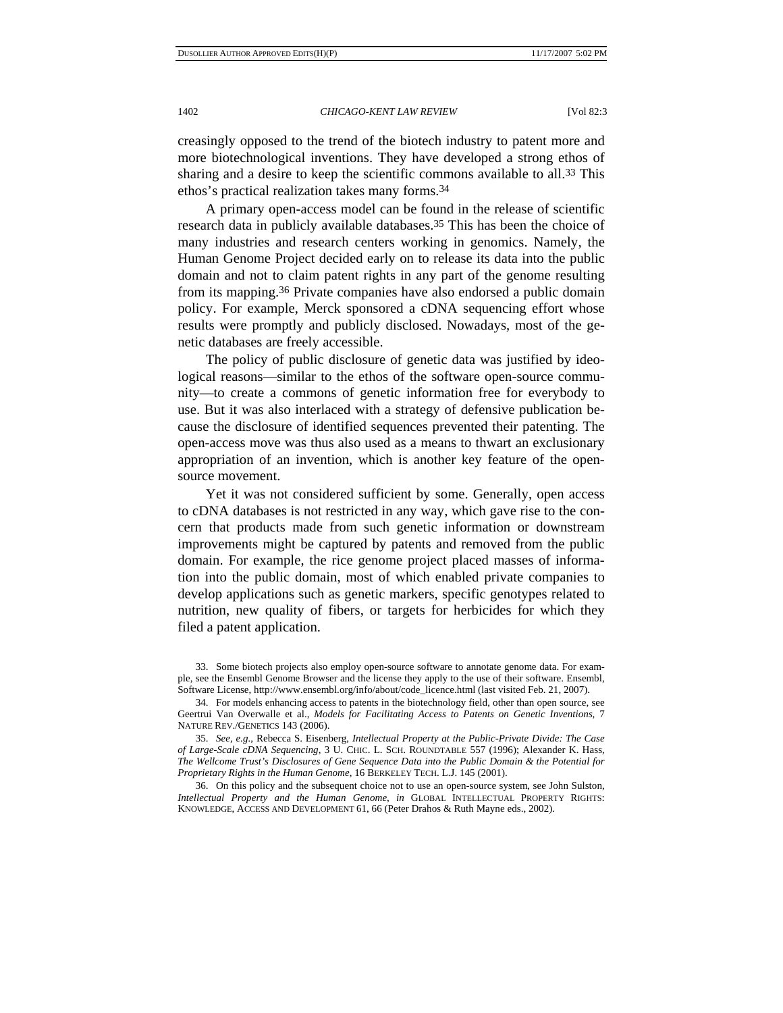creasingly opposed to the trend of the biotech industry to patent more and more biotechnological inventions. They have developed a strong ethos of sharing and a desire to keep the scientific commons available to all.<sup>33</sup> This ethos's practical realization takes many forms.34

A primary open-access model can be found in the release of scientific research data in publicly available databases.<sup>35</sup> This has been the choice of many industries and research centers working in genomics. Namely, the Human Genome Project decided early on to release its data into the public domain and not to claim patent rights in any part of the genome resulting from its mapping.36 Private companies have also endorsed a public domain policy. For example, Merck sponsored a cDNA sequencing effort whose results were promptly and publicly disclosed. Nowadays, most of the genetic databases are freely accessible.

The policy of public disclosure of genetic data was justified by ideological reasons—similar to the ethos of the software open-source community—to create a commons of genetic information free for everybody to use. But it was also interlaced with a strategy of defensive publication because the disclosure of identified sequences prevented their patenting. The open-access move was thus also used as a means to thwart an exclusionary appropriation of an invention, which is another key feature of the opensource movement.

Yet it was not considered sufficient by some. Generally, open access to cDNA databases is not restricted in any way, which gave rise to the concern that products made from such genetic information or downstream improvements might be captured by patents and removed from the public domain. For example, the rice genome project placed masses of information into the public domain, most of which enabled private companies to develop applications such as genetic markers, specific genotypes related to nutrition, new quality of fibers, or targets for herbicides for which they filed a patent application.

 36. On this policy and the subsequent choice not to use an open-source system, see John Sulston, *Intellectual Property and the Human Genome*, *in* GLOBAL INTELLECTUAL PROPERTY RIGHTS: KNOWLEDGE, ACCESS AND DEVELOPMENT 61, 66 (Peter Drahos & Ruth Mayne eds., 2002).

 <sup>33.</sup> Some biotech projects also employ open-source software to annotate genome data. For example, see the Ensembl Genome Browser and the license they apply to the use of their software. Ensembl, Software License, http://www.ensembl.org/info/about/code\_licence.html (last visited Feb. 21, 2007).

 <sup>34.</sup> For models enhancing access to patents in the biotechnology field, other than open source, see Geertrui Van Overwalle et al., *Models for Facilitating Access to Patents on Genetic Inventions*, 7 NATURE REV./GENETICS 143 (2006).

 <sup>35.</sup> *See, e.g.*, Rebecca S. Eisenberg, *Intellectual Property at the Public-Private Divide: The Case of Large-Scale cDNA Sequencing*, 3 U. CHIC. L. SCH. ROUNDTABLE 557 (1996); Alexander K. Hass, *The Wellcome Trust's Disclosures of Gene Sequence Data into the Public Domain & the Potential for Proprietary Rights in the Human Genome*, 16 BERKELEY TECH. L.J. 145 (2001).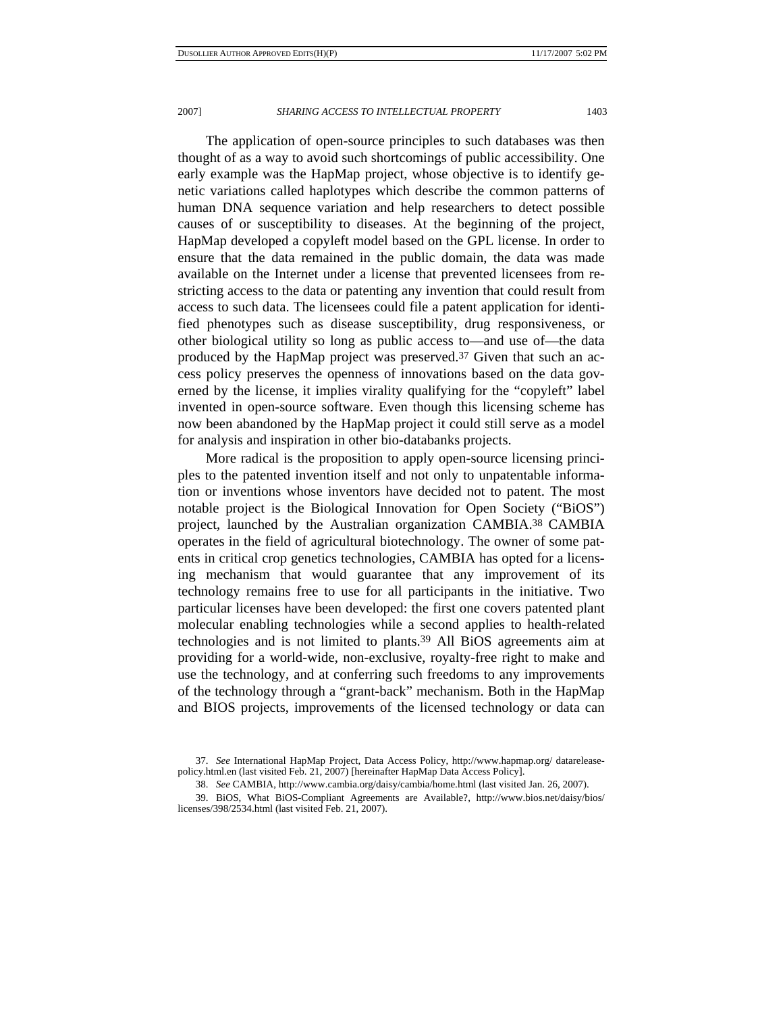The application of open-source principles to such databases was then thought of as a way to avoid such shortcomings of public accessibility. One early example was the HapMap project, whose objective is to identify genetic variations called haplotypes which describe the common patterns of human DNA sequence variation and help researchers to detect possible causes of or susceptibility to diseases. At the beginning of the project, HapMap developed a copyleft model based on the GPL license. In order to ensure that the data remained in the public domain, the data was made available on the Internet under a license that prevented licensees from restricting access to the data or patenting any invention that could result from access to such data. The licensees could file a patent application for identified phenotypes such as disease susceptibility, drug responsiveness, or other biological utility so long as public access to—and use of—the data produced by the HapMap project was preserved.37 Given that such an access policy preserves the openness of innovations based on the data governed by the license, it implies virality qualifying for the "copyleft" label invented in open-source software. Even though this licensing scheme has now been abandoned by the HapMap project it could still serve as a model for analysis and inspiration in other bio-databanks projects.

More radical is the proposition to apply open-source licensing principles to the patented invention itself and not only to unpatentable information or inventions whose inventors have decided not to patent. The most notable project is the Biological Innovation for Open Society ("BiOS") project, launched by the Australian organization CAMBIA.38 CAMBIA operates in the field of agricultural biotechnology. The owner of some patents in critical crop genetics technologies, CAMBIA has opted for a licensing mechanism that would guarantee that any improvement of its technology remains free to use for all participants in the initiative. Two particular licenses have been developed: the first one covers patented plant molecular enabling technologies while a second applies to health-related technologies and is not limited to plants.39 All BiOS agreements aim at providing for a world-wide, non-exclusive, royalty-free right to make and use the technology, and at conferring such freedoms to any improvements of the technology through a "grant-back" mechanism. Both in the HapMap and BIOS projects, improvements of the licensed technology or data can

 <sup>37.</sup> *See* International HapMap Project, Data Access Policy, http://www.hapmap.org/ datareleasepolicy.html.en (last visited Feb. 21, 2007) [hereinafter HapMap Data Access Policy].

 <sup>38.</sup> *See* CAMBIA, http://www.cambia.org/daisy/cambia/home.html (last visited Jan. 26, 2007).

 <sup>39.</sup> BiOS, What BiOS-Compliant Agreements are Available?, http://www.bios.net/daisy/bios/ licenses/398/2534.html (last visited Feb. 21, 2007).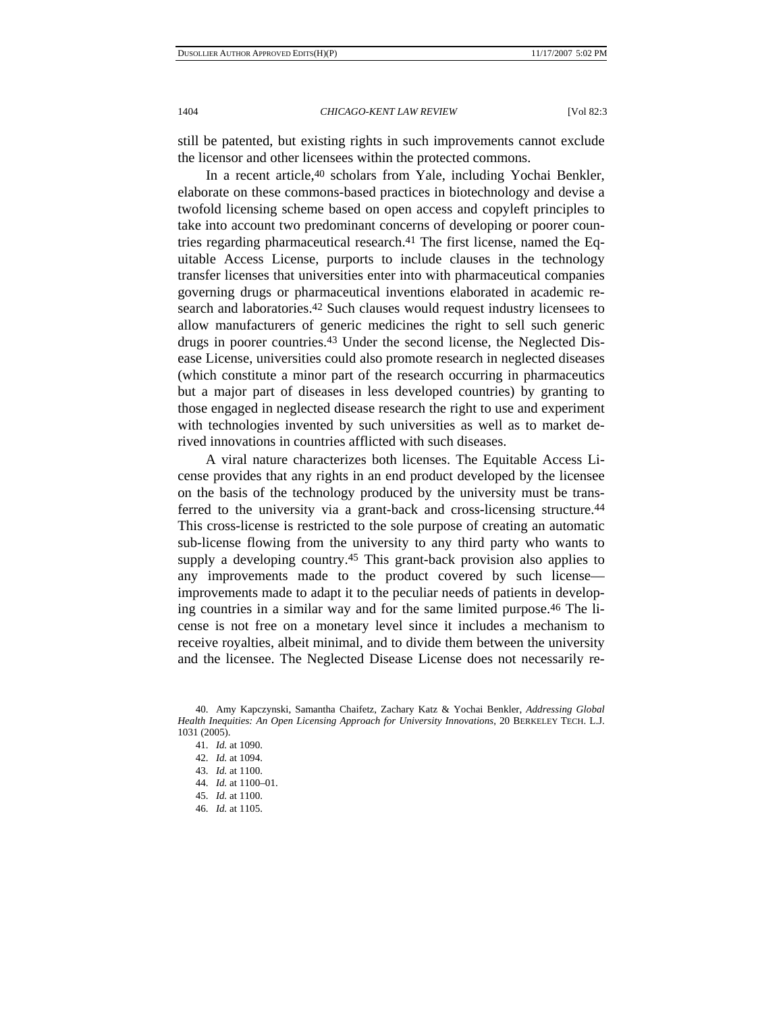still be patented, but existing rights in such improvements cannot exclude the licensor and other licensees within the protected commons.

In a recent article,<sup>40</sup> scholars from Yale, including Yochai Benkler, elaborate on these commons-based practices in biotechnology and devise a twofold licensing scheme based on open access and copyleft principles to take into account two predominant concerns of developing or poorer countries regarding pharmaceutical research.41 The first license, named the Equitable Access License, purports to include clauses in the technology transfer licenses that universities enter into with pharmaceutical companies governing drugs or pharmaceutical inventions elaborated in academic research and laboratories.<sup>42</sup> Such clauses would request industry licensees to allow manufacturers of generic medicines the right to sell such generic drugs in poorer countries.43 Under the second license, the Neglected Disease License, universities could also promote research in neglected diseases (which constitute a minor part of the research occurring in pharmaceutics but a major part of diseases in less developed countries) by granting to those engaged in neglected disease research the right to use and experiment with technologies invented by such universities as well as to market derived innovations in countries afflicted with such diseases.

A viral nature characterizes both licenses. The Equitable Access License provides that any rights in an end product developed by the licensee on the basis of the technology produced by the university must be transferred to the university via a grant-back and cross-licensing structure.44 This cross-license is restricted to the sole purpose of creating an automatic sub-license flowing from the university to any third party who wants to supply a developing country.45 This grant-back provision also applies to any improvements made to the product covered by such license improvements made to adapt it to the peculiar needs of patients in developing countries in a similar way and for the same limited purpose.46 The license is not free on a monetary level since it includes a mechanism to receive royalties, albeit minimal, and to divide them between the university and the licensee. The Neglected Disease License does not necessarily re-

 <sup>40.</sup> Amy Kapczynski, Samantha Chaifetz, Zachary Katz & Yochai Benkler, *Addressing Global Health Inequities: An Open Licensing Approach for University Innovations*, 20 BERKELEY TECH. L.J. 1031 (2005).

 <sup>41.</sup> *Id.* at 1090.

 <sup>42.</sup> *Id.* at 1094. 43. *Id.* at 1100.

 <sup>44.</sup> *Id.* at 1100–01.

<sup>45.</sup> *Id.* at 1100.

<sup>46.</sup> *Id.* at 1105.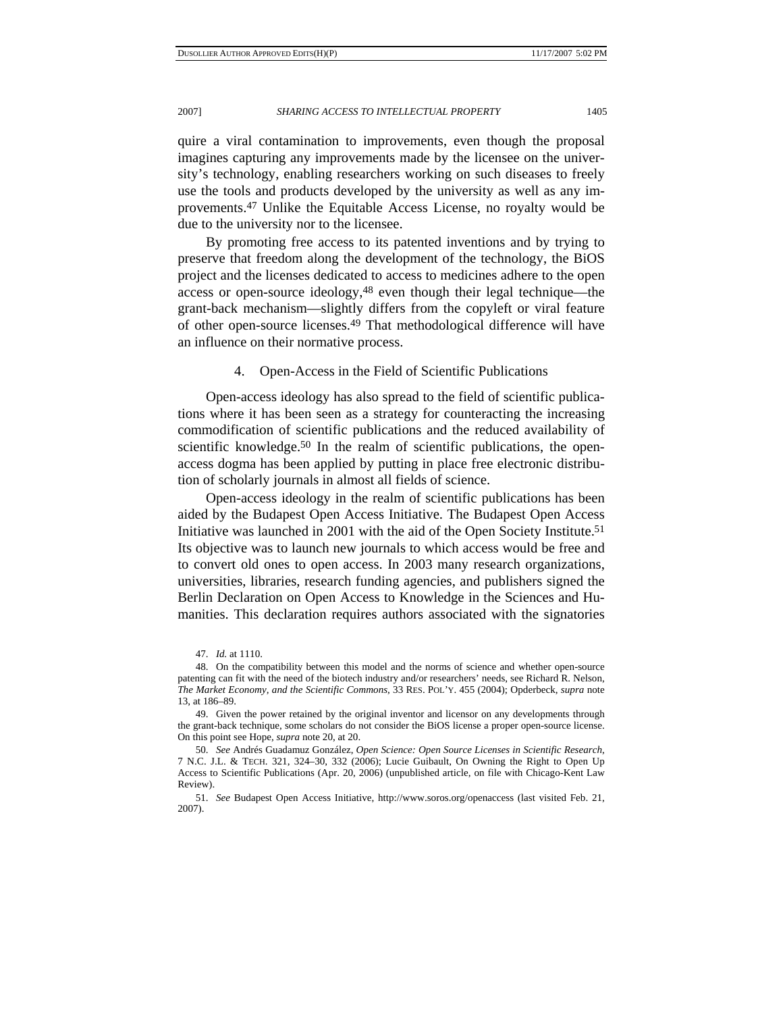quire a viral contamination to improvements, even though the proposal imagines capturing any improvements made by the licensee on the university's technology, enabling researchers working on such diseases to freely use the tools and products developed by the university as well as any improvements.47 Unlike the Equitable Access License, no royalty would be due to the university nor to the licensee.

By promoting free access to its patented inventions and by trying to preserve that freedom along the development of the technology, the BiOS project and the licenses dedicated to access to medicines adhere to the open access or open-source ideology,48 even though their legal technique—the grant-back mechanism—slightly differs from the copyleft or viral feature of other open-source licenses.49 That methodological difference will have an influence on their normative process.

4. Open-Access in the Field of Scientific Publications

Open-access ideology has also spread to the field of scientific publications where it has been seen as a strategy for counteracting the increasing commodification of scientific publications and the reduced availability of scientific knowledge.<sup>50</sup> In the realm of scientific publications, the openaccess dogma has been applied by putting in place free electronic distribution of scholarly journals in almost all fields of science.

Open-access ideology in the realm of scientific publications has been aided by the Budapest Open Access Initiative. The Budapest Open Access Initiative was launched in 2001 with the aid of the Open Society Institute.51 Its objective was to launch new journals to which access would be free and to convert old ones to open access. In 2003 many research organizations, universities, libraries, research funding agencies, and publishers signed the Berlin Declaration on Open Access to Knowledge in the Sciences and Humanities. This declaration requires authors associated with the signatories

<sup>47.</sup> *Id.* at 1110.

 <sup>48.</sup> On the compatibility between this model and the norms of science and whether open-source patenting can fit with the need of the biotech industry and/or researchers' needs, see Richard R. Nelson, *The Market Economy, and the Scientific Commons*, 33 RES. POL'Y. 455 (2004); Opderbeck, *supra* note 13, at 186–89.

 <sup>49.</sup> Given the power retained by the original inventor and licensor on any developments through the grant-back technique, some scholars do not consider the BiOS license a proper open-source license. On this point see Hope, *supra* note 20, at 20.

 <sup>50.</sup> *See* Andrés Guadamuz González, *Open Science: Open Source Licenses in Scientific Research*, 7 N.C. J.L. & TECH. 321, 324–30, 332 (2006); Lucie Guibault, On Owning the Right to Open Up Access to Scientific Publications (Apr. 20, 2006) (unpublished article, on file with Chicago-Kent Law Review).

 <sup>51.</sup> *See* Budapest Open Access Initiative, http://www.soros.org/openaccess (last visited Feb. 21, 2007).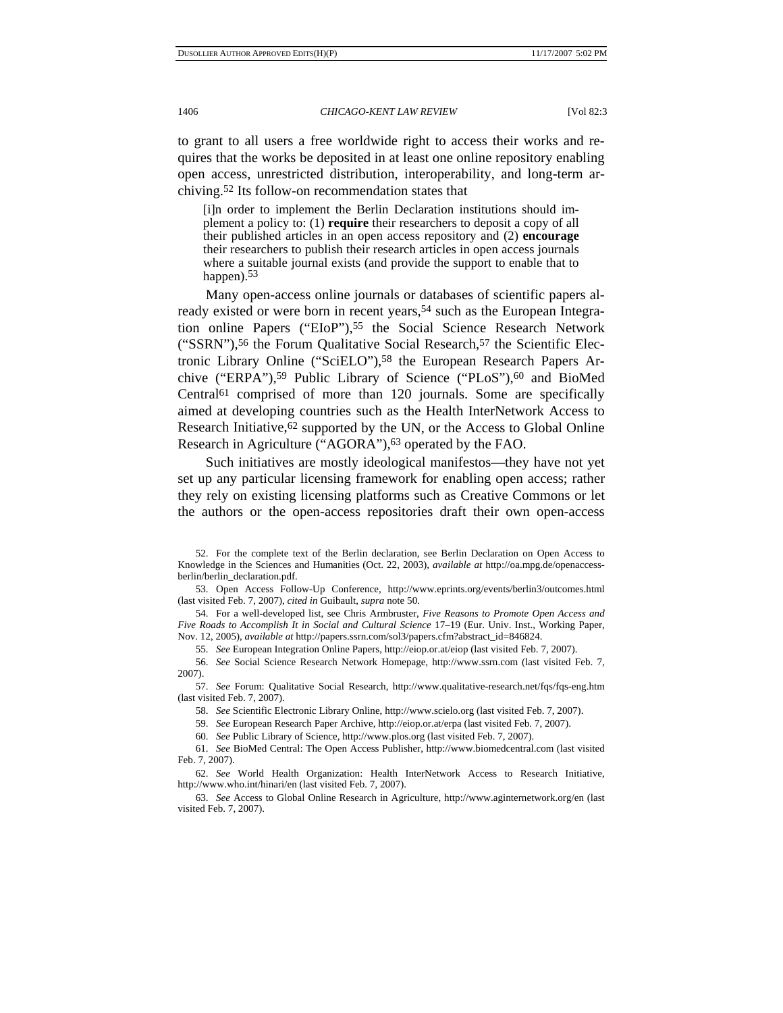to grant to all users a free worldwide right to access their works and requires that the works be deposited in at least one online repository enabling open access, unrestricted distribution, interoperability, and long-term archiving.52 Its follow-on recommendation states that

[i]n order to implement the Berlin Declaration institutions should implement a policy to: (1) **require** their researchers to deposit a copy of all their published articles in an open access repository and (2) **encourage** their researchers to publish their research articles in open access journals where a suitable journal exists (and provide the support to enable that to happen).<sup>53</sup>

Many open-access online journals or databases of scientific papers already existed or were born in recent years,54 such as the European Integration online Papers ("EIoP"),<sup>55</sup> the Social Science Research Network ("SSRN"),<sup>56</sup> the Forum Qualitative Social Research,<sup>57</sup> the Scientific Electronic Library Online ("SciELO"),58 the European Research Papers Archive ("ERPA"),<sup>59</sup> Public Library of Science ("PLoS"),<sup>60</sup> and BioMed Central61 comprised of more than 120 journals. Some are specifically aimed at developing countries such as the Health InterNetwork Access to Research Initiative,<sup>62</sup> supported by the UN, or the Access to Global Online Research in Agriculture ("AGORA"),<sup>63</sup> operated by the FAO.

Such initiatives are mostly ideological manifestos—they have not yet set up any particular licensing framework for enabling open access; rather they rely on existing licensing platforms such as Creative Commons or let the authors or the open-access repositories draft their own open-access

 <sup>52.</sup> For the complete text of the Berlin declaration, see Berlin Declaration on Open Access to Knowledge in the Sciences and Humanities (Oct. 22, 2003), *available at* http://oa.mpg.de/openaccessberlin/berlin\_declaration.pdf.

 <sup>53.</sup> Open Access Follow-Up Conference, http://www.eprints.org/events/berlin3/outcomes.html (last visited Feb. 7, 2007), *cited in* Guibault, *supra* note 50.

 <sup>54.</sup> For a well-developed list, see Chris Armbruster, *Five Reasons to Promote Open Access and Five Roads to Accomplish It in Social and Cultural Science* 17–19 (Eur. Univ. Inst., Working Paper, Nov. 12, 2005), *available at* http://papers.ssrn.com/sol3/papers.cfm?abstract\_id=846824.

 <sup>55.</sup> *See* European Integration Online Papers, http://eiop.or.at/eiop (last visited Feb. 7, 2007).

 <sup>56.</sup> *See* Social Science Research Network Homepage, http://www.ssrn.com (last visited Feb. 7, 2007).

 <sup>57.</sup> *See* Forum: Qualitative Social Research, http://www.qualitative-research.net/fqs/fqs-eng.htm (last visited Feb. 7, 2007).

 <sup>58.</sup> *See* Scientific Electronic Library Online, http://www.scielo.org (last visited Feb. 7, 2007).

 <sup>59.</sup> *See* European Research Paper Archive, http://eiop.or.at/erpa (last visited Feb. 7, 2007).

 <sup>60.</sup> *See* Public Library of Science, http://www.plos.org (last visited Feb. 7, 2007).

 <sup>61.</sup> *See* BioMed Central: The Open Access Publisher, http://www.biomedcentral.com (last visited Feb. 7, 2007).

 <sup>62.</sup> *See* World Health Organization: Health InterNetwork Access to Research Initiative, http://www.who.int/hinari/en (last visited Feb. 7, 2007).

 <sup>63.</sup> *See* Access to Global Online Research in Agriculture, http://www.aginternetwork.org/en (last visited Feb. 7, 2007).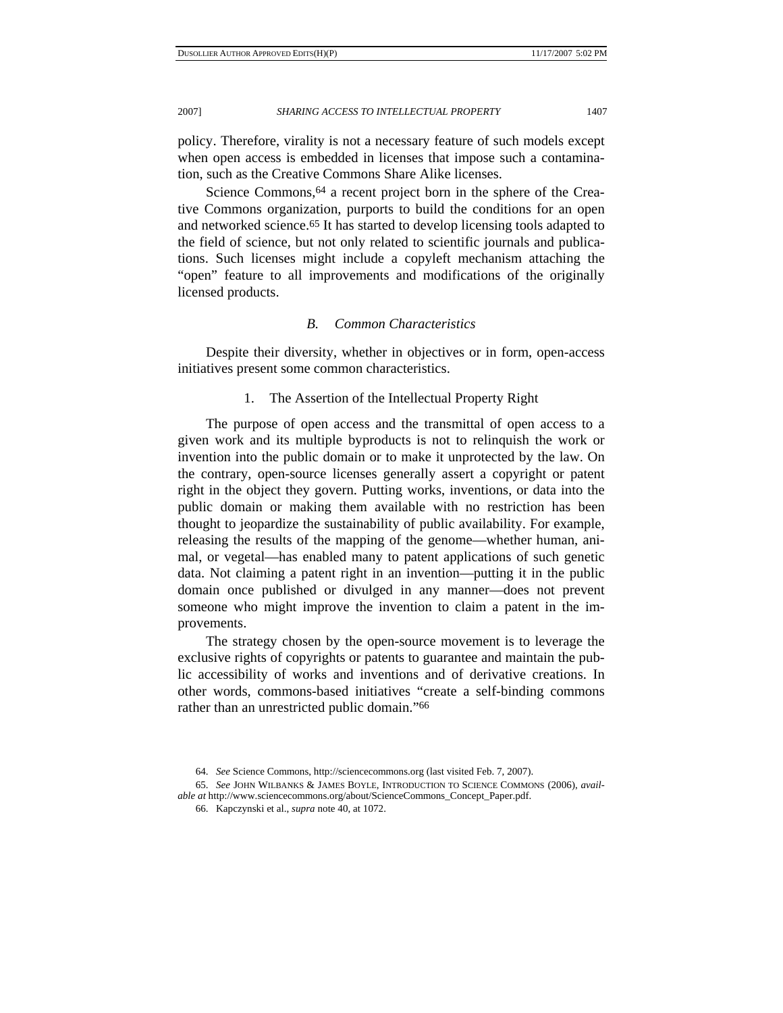policy. Therefore, virality is not a necessary feature of such models except when open access is embedded in licenses that impose such a contamination, such as the Creative Commons Share Alike licenses.

Science Commons, <sup>64</sup> a recent project born in the sphere of the Creative Commons organization, purports to build the conditions for an open and networked science.65 It has started to develop licensing tools adapted to the field of science, but not only related to scientific journals and publications. Such licenses might include a copyleft mechanism attaching the "open" feature to all improvements and modifications of the originally licensed products.

# *B. Common Characteristics*

Despite their diversity, whether in objectives or in form, open-access initiatives present some common characteristics.

### 1. The Assertion of the Intellectual Property Right

The purpose of open access and the transmittal of open access to a given work and its multiple byproducts is not to relinquish the work or invention into the public domain or to make it unprotected by the law. On the contrary, open-source licenses generally assert a copyright or patent right in the object they govern. Putting works, inventions, or data into the public domain or making them available with no restriction has been thought to jeopardize the sustainability of public availability. For example, releasing the results of the mapping of the genome—whether human, animal, or vegetal—has enabled many to patent applications of such genetic data. Not claiming a patent right in an invention—putting it in the public domain once published or divulged in any manner—does not prevent someone who might improve the invention to claim a patent in the improvements.

The strategy chosen by the open-source movement is to leverage the exclusive rights of copyrights or patents to guarantee and maintain the public accessibility of works and inventions and of derivative creations. In other words, commons-based initiatives "create a self-binding commons rather than an unrestricted public domain."66

 <sup>64.</sup> *See* Science Commons, http://sciencecommons.org (last visited Feb. 7, 2007).

 <sup>65.</sup> *See* JOHN WILBANKS & JAMES BOYLE, INTRODUCTION TO SCIENCE COMMONS (2006), *available at* http://www.sciencecommons.org/about/ScienceCommons\_Concept\_Paper.pdf.

 <sup>66.</sup> Kapczynski et al., *supra* note 40, at 1072.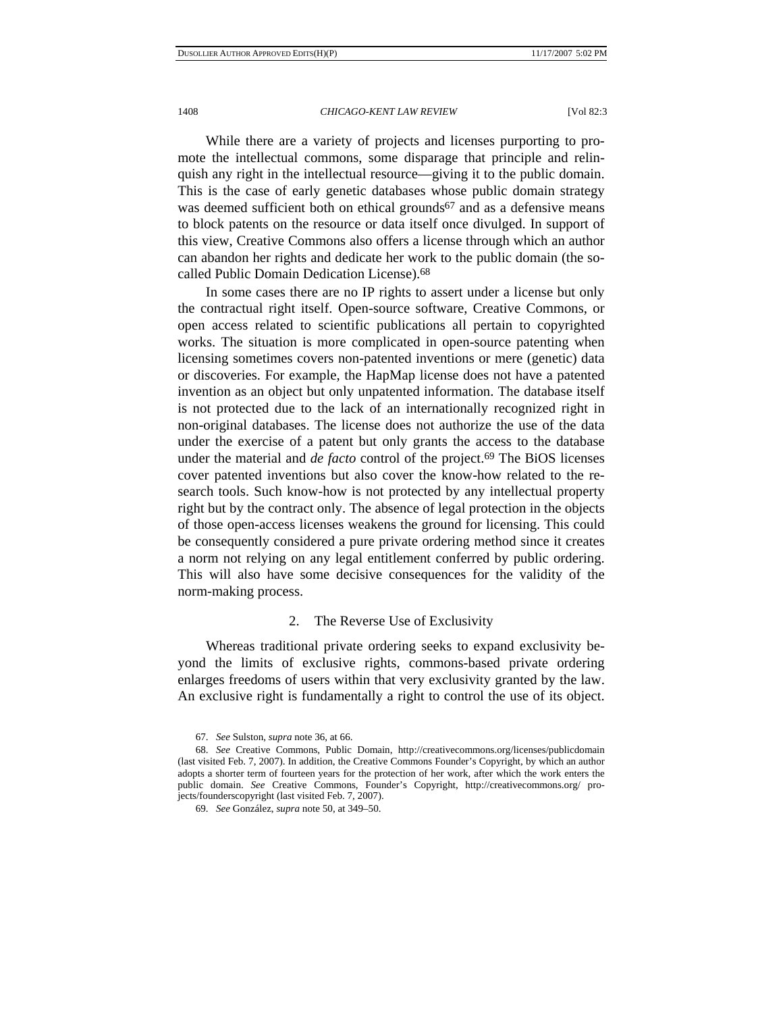While there are a variety of projects and licenses purporting to promote the intellectual commons, some disparage that principle and relinquish any right in the intellectual resource—giving it to the public domain. This is the case of early genetic databases whose public domain strategy was deemed sufficient both on ethical grounds<sup>67</sup> and as a defensive means to block patents on the resource or data itself once divulged. In support of this view, Creative Commons also offers a license through which an author can abandon her rights and dedicate her work to the public domain (the socalled Public Domain Dedication License).68

In some cases there are no IP rights to assert under a license but only the contractual right itself. Open-source software, Creative Commons, or open access related to scientific publications all pertain to copyrighted works. The situation is more complicated in open-source patenting when licensing sometimes covers non-patented inventions or mere (genetic) data or discoveries. For example, the HapMap license does not have a patented invention as an object but only unpatented information. The database itself is not protected due to the lack of an internationally recognized right in non-original databases. The license does not authorize the use of the data under the exercise of a patent but only grants the access to the database under the material and *de facto* control of the project.69 The BiOS licenses cover patented inventions but also cover the know-how related to the research tools. Such know-how is not protected by any intellectual property right but by the contract only. The absence of legal protection in the objects of those open-access licenses weakens the ground for licensing. This could be consequently considered a pure private ordering method since it creates a norm not relying on any legal entitlement conferred by public ordering. This will also have some decisive consequences for the validity of the norm-making process.

## 2. The Reverse Use of Exclusivity

Whereas traditional private ordering seeks to expand exclusivity beyond the limits of exclusive rights, commons-based private ordering enlarges freedoms of users within that very exclusivity granted by the law. An exclusive right is fundamentally a right to control the use of its object.

 <sup>67.</sup> *See* Sulston, *supra* note 36, at 66.

<sup>68.</sup> *See* Creative Commons, Public Domain, http://creativecommons.org/licenses/publicdomain (last visited Feb. 7, 2007). In addition, the Creative Commons Founder's Copyright, by which an author adopts a shorter term of fourteen years for the protection of her work, after which the work enters the public domain. *See* Creative Commons, Founder's Copyright, http://creativecommons.org/ projects/founderscopyright (last visited Feb. 7, 2007).

 <sup>69.</sup> *See* González, *supra* note 50, at 349–50.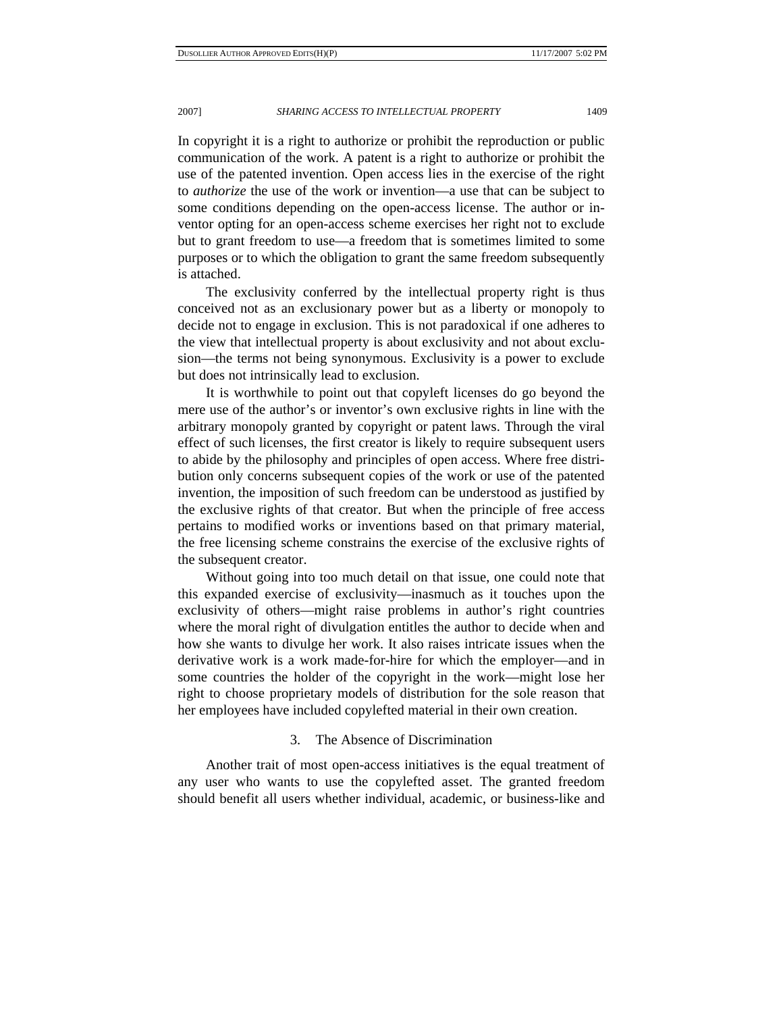In copyright it is a right to authorize or prohibit the reproduction or public communication of the work. A patent is a right to authorize or prohibit the use of the patented invention. Open access lies in the exercise of the right to *authorize* the use of the work or invention—a use that can be subject to some conditions depending on the open-access license. The author or inventor opting for an open-access scheme exercises her right not to exclude but to grant freedom to use—a freedom that is sometimes limited to some purposes or to which the obligation to grant the same freedom subsequently is attached.

The exclusivity conferred by the intellectual property right is thus conceived not as an exclusionary power but as a liberty or monopoly to decide not to engage in exclusion. This is not paradoxical if one adheres to the view that intellectual property is about exclusivity and not about exclusion—the terms not being synonymous. Exclusivity is a power to exclude but does not intrinsically lead to exclusion.

It is worthwhile to point out that copyleft licenses do go beyond the mere use of the author's or inventor's own exclusive rights in line with the arbitrary monopoly granted by copyright or patent laws. Through the viral effect of such licenses, the first creator is likely to require subsequent users to abide by the philosophy and principles of open access. Where free distribution only concerns subsequent copies of the work or use of the patented invention, the imposition of such freedom can be understood as justified by the exclusive rights of that creator. But when the principle of free access pertains to modified works or inventions based on that primary material, the free licensing scheme constrains the exercise of the exclusive rights of the subsequent creator.

Without going into too much detail on that issue, one could note that this expanded exercise of exclusivity—inasmuch as it touches upon the exclusivity of others—might raise problems in author's right countries where the moral right of divulgation entitles the author to decide when and how she wants to divulge her work. It also raises intricate issues when the derivative work is a work made-for-hire for which the employer—and in some countries the holder of the copyright in the work—might lose her right to choose proprietary models of distribution for the sole reason that her employees have included copylefted material in their own creation.

# 3. The Absence of Discrimination

Another trait of most open-access initiatives is the equal treatment of any user who wants to use the copylefted asset. The granted freedom should benefit all users whether individual, academic, or business-like and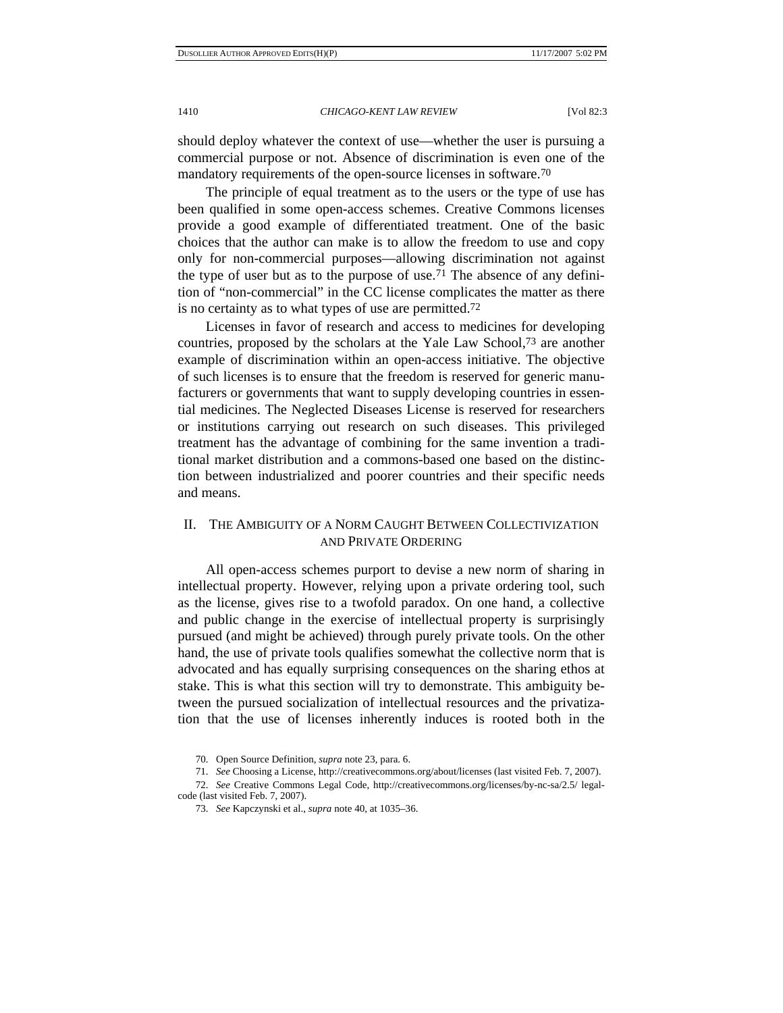should deploy whatever the context of use—whether the user is pursuing a commercial purpose or not. Absence of discrimination is even one of the mandatory requirements of the open-source licenses in software.<sup>70</sup>

The principle of equal treatment as to the users or the type of use has been qualified in some open-access schemes. Creative Commons licenses provide a good example of differentiated treatment. One of the basic choices that the author can make is to allow the freedom to use and copy only for non-commercial purposes—allowing discrimination not against the type of user but as to the purpose of use.<sup>71</sup> The absence of any definition of "non-commercial" in the CC license complicates the matter as there is no certainty as to what types of use are permitted.72

Licenses in favor of research and access to medicines for developing countries, proposed by the scholars at the Yale Law School,73 are another example of discrimination within an open-access initiative. The objective of such licenses is to ensure that the freedom is reserved for generic manufacturers or governments that want to supply developing countries in essential medicines. The Neglected Diseases License is reserved for researchers or institutions carrying out research on such diseases. This privileged treatment has the advantage of combining for the same invention a traditional market distribution and a commons-based one based on the distinction between industrialized and poorer countries and their specific needs and means.

# II. THE AMBIGUITY OF A NORM CAUGHT BETWEEN COLLECTIVIZATION AND PRIVATE ORDERING

All open-access schemes purport to devise a new norm of sharing in intellectual property. However, relying upon a private ordering tool, such as the license, gives rise to a twofold paradox. On one hand, a collective and public change in the exercise of intellectual property is surprisingly pursued (and might be achieved) through purely private tools. On the other hand, the use of private tools qualifies somewhat the collective norm that is advocated and has equally surprising consequences on the sharing ethos at stake. This is what this section will try to demonstrate. This ambiguity between the pursued socialization of intellectual resources and the privatization that the use of licenses inherently induces is rooted both in the

 <sup>70.</sup> Open Source Definition, *supra* note 23, para. 6.

 <sup>71.</sup> *See* Choosing a License, http://creativecommons.org/about/licenses (last visited Feb. 7, 2007).

 <sup>72.</sup> *See* Creative Commons Legal Code, http://creativecommons.org/licenses/by-nc-sa/2.5/ legalcode (last visited Feb. 7, 2007).

 <sup>73.</sup> *See* Kapczynski et al., *supra* note 40, at 1035–36.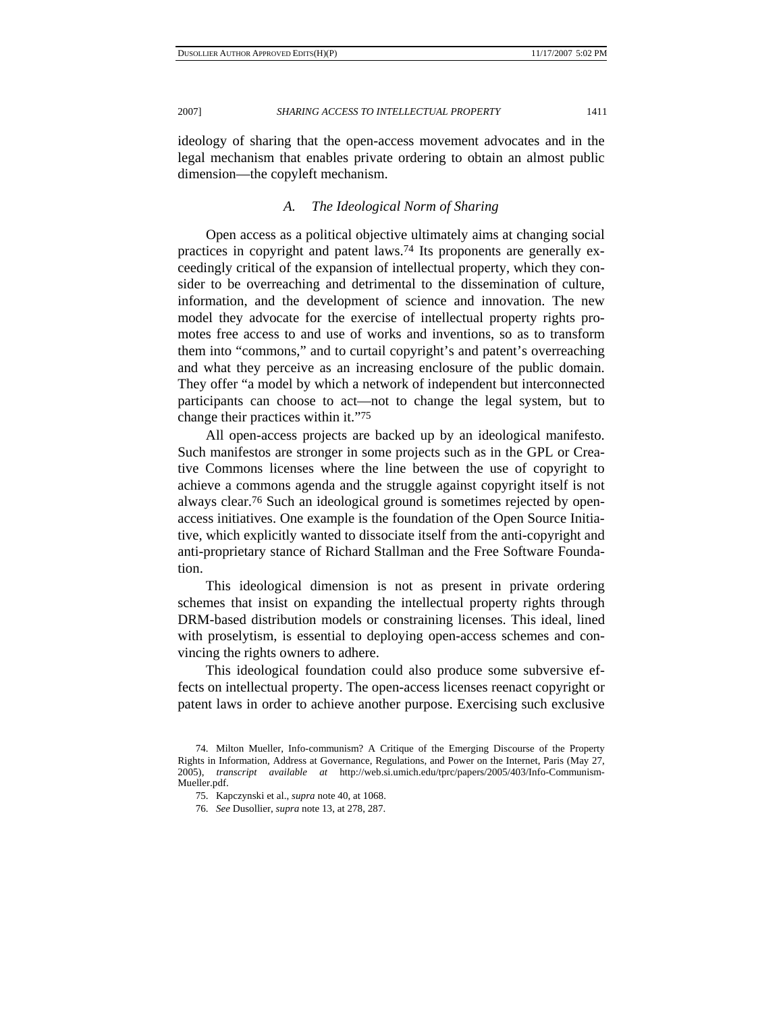ideology of sharing that the open-access movement advocates and in the legal mechanism that enables private ordering to obtain an almost public dimension—the copyleft mechanism.

# *A. The Ideological Norm of Sharing*

Open access as a political objective ultimately aims at changing social practices in copyright and patent laws.74 Its proponents are generally exceedingly critical of the expansion of intellectual property, which they consider to be overreaching and detrimental to the dissemination of culture, information, and the development of science and innovation. The new model they advocate for the exercise of intellectual property rights promotes free access to and use of works and inventions, so as to transform them into "commons," and to curtail copyright's and patent's overreaching and what they perceive as an increasing enclosure of the public domain. They offer "a model by which a network of independent but interconnected participants can choose to act—not to change the legal system, but to change their practices within it."75

All open-access projects are backed up by an ideological manifesto. Such manifestos are stronger in some projects such as in the GPL or Creative Commons licenses where the line between the use of copyright to achieve a commons agenda and the struggle against copyright itself is not always clear.76 Such an ideological ground is sometimes rejected by openaccess initiatives. One example is the foundation of the Open Source Initiative, which explicitly wanted to dissociate itself from the anti-copyright and anti-proprietary stance of Richard Stallman and the Free Software Foundation.

This ideological dimension is not as present in private ordering schemes that insist on expanding the intellectual property rights through DRM-based distribution models or constraining licenses. This ideal, lined with proselytism, is essential to deploying open-access schemes and convincing the rights owners to adhere.

This ideological foundation could also produce some subversive effects on intellectual property. The open-access licenses reenact copyright or patent laws in order to achieve another purpose. Exercising such exclusive

 <sup>74.</sup> Milton Mueller, Info-communism? A Critique of the Emerging Discourse of the Property Rights in Information, Address at Governance, Regulations, and Power on the Internet, Paris (May 27, 2005), *transcript available at* http://web.si.umich.edu/tprc/papers/2005/403/Info-Communism-Mueller.pdf.

 <sup>75.</sup> Kapczynski et al., *supra* note 40, at 1068.

 <sup>76.</sup> *See* Dusollier, *supra* note 13, at 278, 287.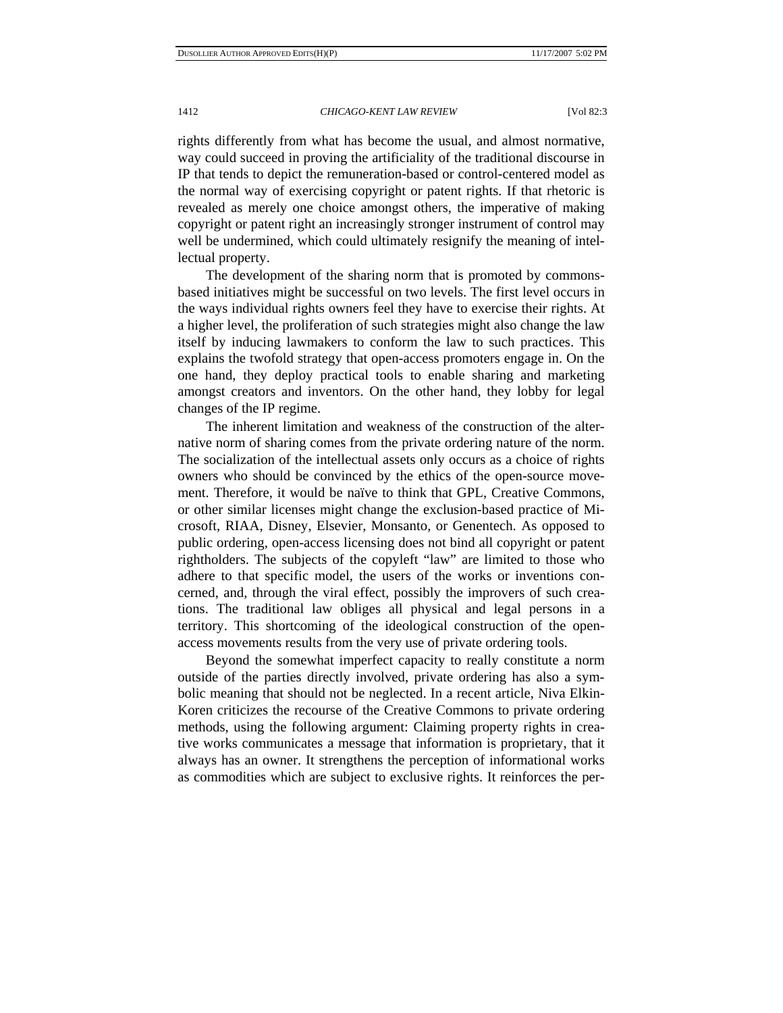rights differently from what has become the usual, and almost normative, way could succeed in proving the artificiality of the traditional discourse in IP that tends to depict the remuneration-based or control-centered model as the normal way of exercising copyright or patent rights. If that rhetoric is revealed as merely one choice amongst others, the imperative of making copyright or patent right an increasingly stronger instrument of control may well be undermined, which could ultimately resignify the meaning of intellectual property.

The development of the sharing norm that is promoted by commonsbased initiatives might be successful on two levels. The first level occurs in the ways individual rights owners feel they have to exercise their rights. At a higher level, the proliferation of such strategies might also change the law itself by inducing lawmakers to conform the law to such practices. This explains the twofold strategy that open-access promoters engage in. On the one hand, they deploy practical tools to enable sharing and marketing amongst creators and inventors. On the other hand, they lobby for legal changes of the IP regime.

The inherent limitation and weakness of the construction of the alternative norm of sharing comes from the private ordering nature of the norm. The socialization of the intellectual assets only occurs as a choice of rights owners who should be convinced by the ethics of the open-source movement. Therefore, it would be naïve to think that GPL, Creative Commons, or other similar licenses might change the exclusion-based practice of Microsoft, RIAA, Disney, Elsevier, Monsanto, or Genentech. As opposed to public ordering, open-access licensing does not bind all copyright or patent rightholders. The subjects of the copyleft "law" are limited to those who adhere to that specific model, the users of the works or inventions concerned, and, through the viral effect, possibly the improvers of such creations. The traditional law obliges all physical and legal persons in a territory. This shortcoming of the ideological construction of the openaccess movements results from the very use of private ordering tools.

Beyond the somewhat imperfect capacity to really constitute a norm outside of the parties directly involved, private ordering has also a symbolic meaning that should not be neglected. In a recent article, Niva Elkin-Koren criticizes the recourse of the Creative Commons to private ordering methods, using the following argument: Claiming property rights in creative works communicates a message that information is proprietary, that it always has an owner. It strengthens the perception of informational works as commodities which are subject to exclusive rights. It reinforces the per-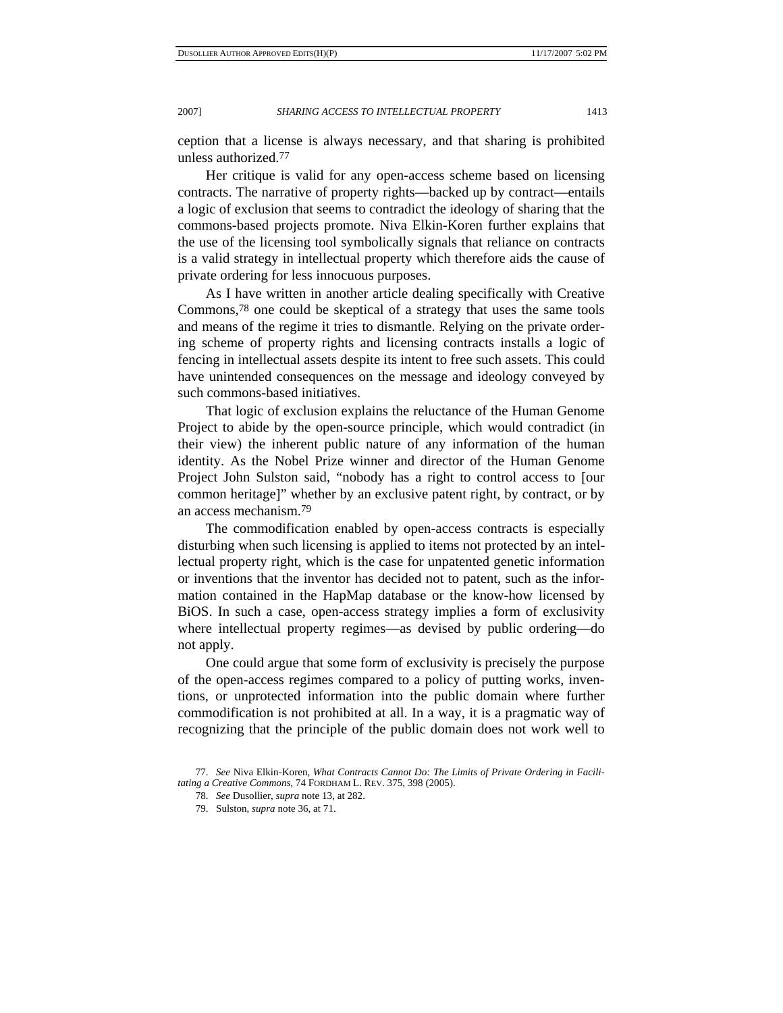ception that a license is always necessary, and that sharing is prohibited unless authorized.77

Her critique is valid for any open-access scheme based on licensing contracts. The narrative of property rights—backed up by contract—entails a logic of exclusion that seems to contradict the ideology of sharing that the commons-based projects promote. Niva Elkin-Koren further explains that the use of the licensing tool symbolically signals that reliance on contracts is a valid strategy in intellectual property which therefore aids the cause of private ordering for less innocuous purposes.

As I have written in another article dealing specifically with Creative Commons,78 one could be skeptical of a strategy that uses the same tools and means of the regime it tries to dismantle. Relying on the private ordering scheme of property rights and licensing contracts installs a logic of fencing in intellectual assets despite its intent to free such assets. This could have unintended consequences on the message and ideology conveyed by such commons-based initiatives.

That logic of exclusion explains the reluctance of the Human Genome Project to abide by the open-source principle, which would contradict (in their view) the inherent public nature of any information of the human identity. As the Nobel Prize winner and director of the Human Genome Project John Sulston said, "nobody has a right to control access to [our common heritage]" whether by an exclusive patent right, by contract, or by an access mechanism.79

The commodification enabled by open-access contracts is especially disturbing when such licensing is applied to items not protected by an intellectual property right, which is the case for unpatented genetic information or inventions that the inventor has decided not to patent, such as the information contained in the HapMap database or the know-how licensed by BiOS. In such a case, open-access strategy implies a form of exclusivity where intellectual property regimes—as devised by public ordering—do not apply.

One could argue that some form of exclusivity is precisely the purpose of the open-access regimes compared to a policy of putting works, inventions, or unprotected information into the public domain where further commodification is not prohibited at all. In a way, it is a pragmatic way of recognizing that the principle of the public domain does not work well to

 <sup>77.</sup> *See* Niva Elkin-Koren, *What Contracts Cannot Do: The Limits of Private Ordering in Facilitating a Creative Commons*, 74 FORDHAM L. REV. 375, 398 (2005).

 <sup>78.</sup> *See* Dusollier, *supra* note 13, at 282.

 <sup>79.</sup> Sulston, *supra* note 36, at 71.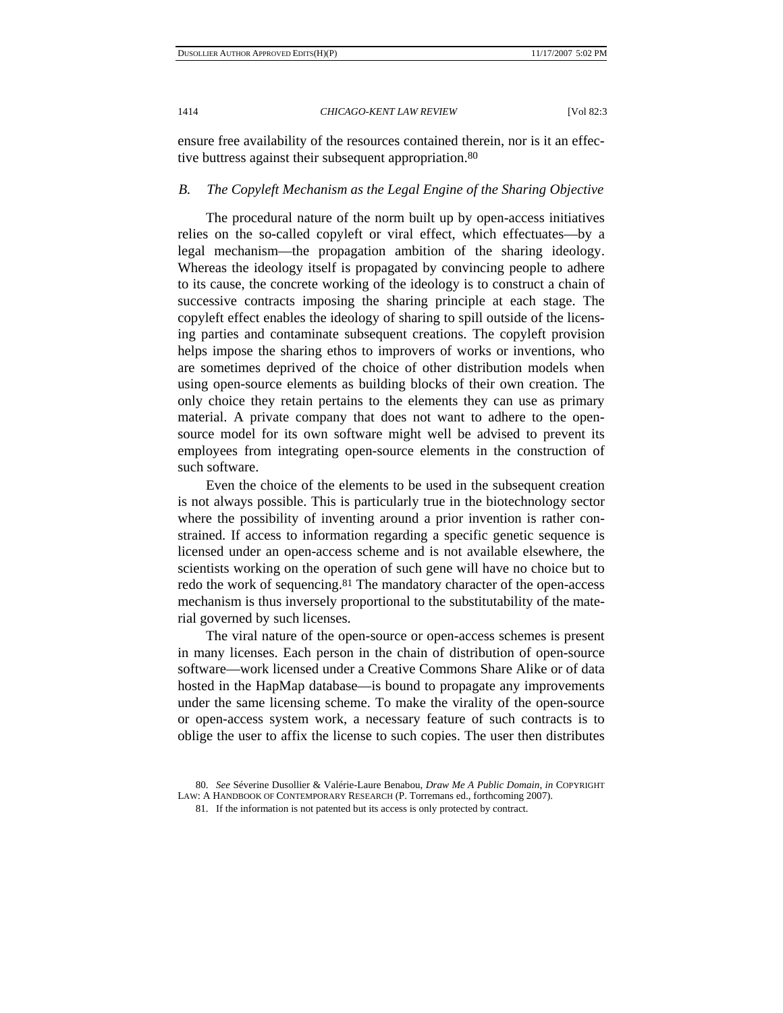ensure free availability of the resources contained therein, nor is it an effective buttress against their subsequent appropriation.80

# *B. The Copyleft Mechanism as the Legal Engine of the Sharing Objective*

The procedural nature of the norm built up by open-access initiatives relies on the so-called copyleft or viral effect, which effectuates—by a legal mechanism—the propagation ambition of the sharing ideology. Whereas the ideology itself is propagated by convincing people to adhere to its cause, the concrete working of the ideology is to construct a chain of successive contracts imposing the sharing principle at each stage. The copyleft effect enables the ideology of sharing to spill outside of the licensing parties and contaminate subsequent creations. The copyleft provision helps impose the sharing ethos to improvers of works or inventions, who are sometimes deprived of the choice of other distribution models when using open-source elements as building blocks of their own creation. The only choice they retain pertains to the elements they can use as primary material. A private company that does not want to adhere to the opensource model for its own software might well be advised to prevent its employees from integrating open-source elements in the construction of such software.

Even the choice of the elements to be used in the subsequent creation is not always possible. This is particularly true in the biotechnology sector where the possibility of inventing around a prior invention is rather constrained. If access to information regarding a specific genetic sequence is licensed under an open-access scheme and is not available elsewhere, the scientists working on the operation of such gene will have no choice but to redo the work of sequencing.<sup>81</sup> The mandatory character of the open-access mechanism is thus inversely proportional to the substitutability of the material governed by such licenses.

The viral nature of the open-source or open-access schemes is present in many licenses. Each person in the chain of distribution of open-source software—work licensed under a Creative Commons Share Alike or of data hosted in the HapMap database—is bound to propagate any improvements under the same licensing scheme. To make the virality of the open-source or open-access system work, a necessary feature of such contracts is to oblige the user to affix the license to such copies. The user then distributes

 <sup>80.</sup> *See* Séverine Dusollier & Valérie-Laure Benabou, *Draw Me A Public Domain*, *in* COPYRIGHT LAW: A HANDBOOK OF CONTEMPORARY RESEARCH (P. Torremans ed., forthcoming 2007).

 <sup>81.</sup> If the information is not patented but its access is only protected by contract.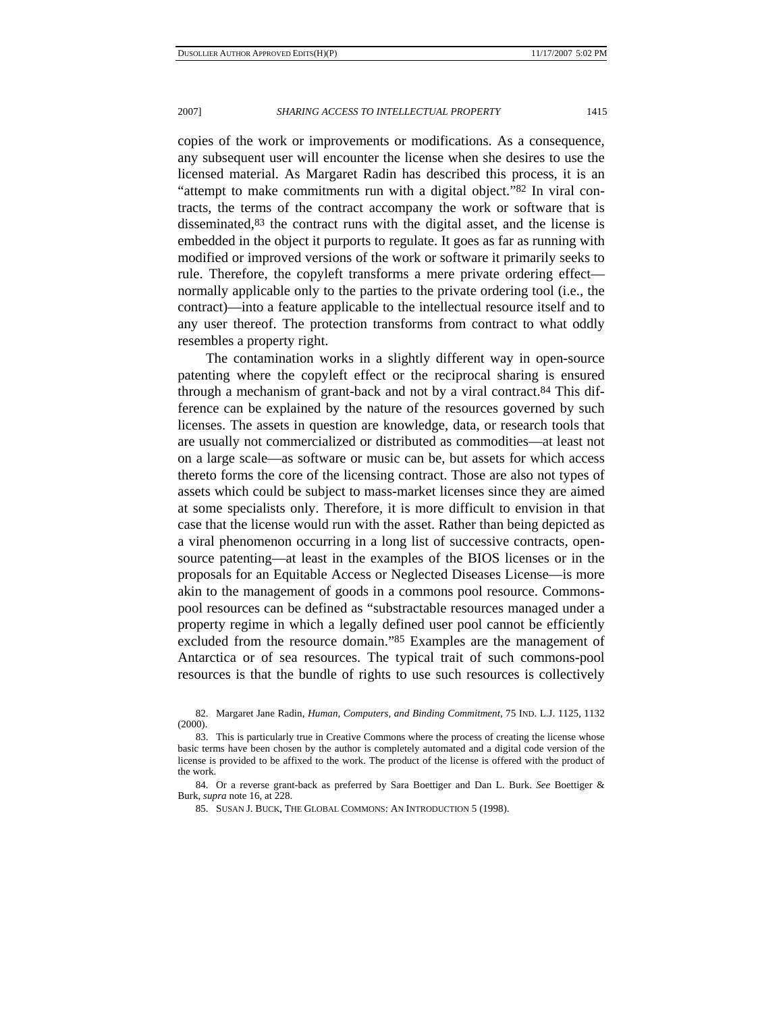copies of the work or improvements or modifications. As a consequence, any subsequent user will encounter the license when she desires to use the licensed material. As Margaret Radin has described this process, it is an "attempt to make commitments run with a digital object."82 In viral contracts, the terms of the contract accompany the work or software that is disseminated,<sup>83</sup> the contract runs with the digital asset, and the license is embedded in the object it purports to regulate. It goes as far as running with modified or improved versions of the work or software it primarily seeks to rule. Therefore, the copyleft transforms a mere private ordering effect normally applicable only to the parties to the private ordering tool (i.e., the contract)—into a feature applicable to the intellectual resource itself and to any user thereof. The protection transforms from contract to what oddly resembles a property right.

The contamination works in a slightly different way in open-source patenting where the copyleft effect or the reciprocal sharing is ensured through a mechanism of grant-back and not by a viral contract.84 This difference can be explained by the nature of the resources governed by such licenses. The assets in question are knowledge, data, or research tools that are usually not commercialized or distributed as commodities—at least not on a large scale—as software or music can be, but assets for which access thereto forms the core of the licensing contract. Those are also not types of assets which could be subject to mass-market licenses since they are aimed at some specialists only. Therefore, it is more difficult to envision in that case that the license would run with the asset. Rather than being depicted as a viral phenomenon occurring in a long list of successive contracts, opensource patenting—at least in the examples of the BIOS licenses or in the proposals for an Equitable Access or Neglected Diseases License—is more akin to the management of goods in a commons pool resource. Commonspool resources can be defined as "substractable resources managed under a property regime in which a legally defined user pool cannot be efficiently excluded from the resource domain."85 Examples are the management of Antarctica or of sea resources. The typical trait of such commons-pool resources is that the bundle of rights to use such resources is collectively

 <sup>82.</sup> Margaret Jane Radin, *Human, Computers, and Binding Commitment*, 75 IND. L.J. 1125, 1132 (2000).

 <sup>83.</sup> This is particularly true in Creative Commons where the process of creating the license whose basic terms have been chosen by the author is completely automated and a digital code version of the license is provided to be affixed to the work. The product of the license is offered with the product of the work.

 <sup>84.</sup> Or a reverse grant-back as preferred by Sara Boettiger and Dan L. Burk. *See* Boettiger & Burk, *supra* note 16, at 228.

 <sup>85.</sup> SUSAN J. BUCK, THE GLOBAL COMMONS: AN INTRODUCTION 5 (1998).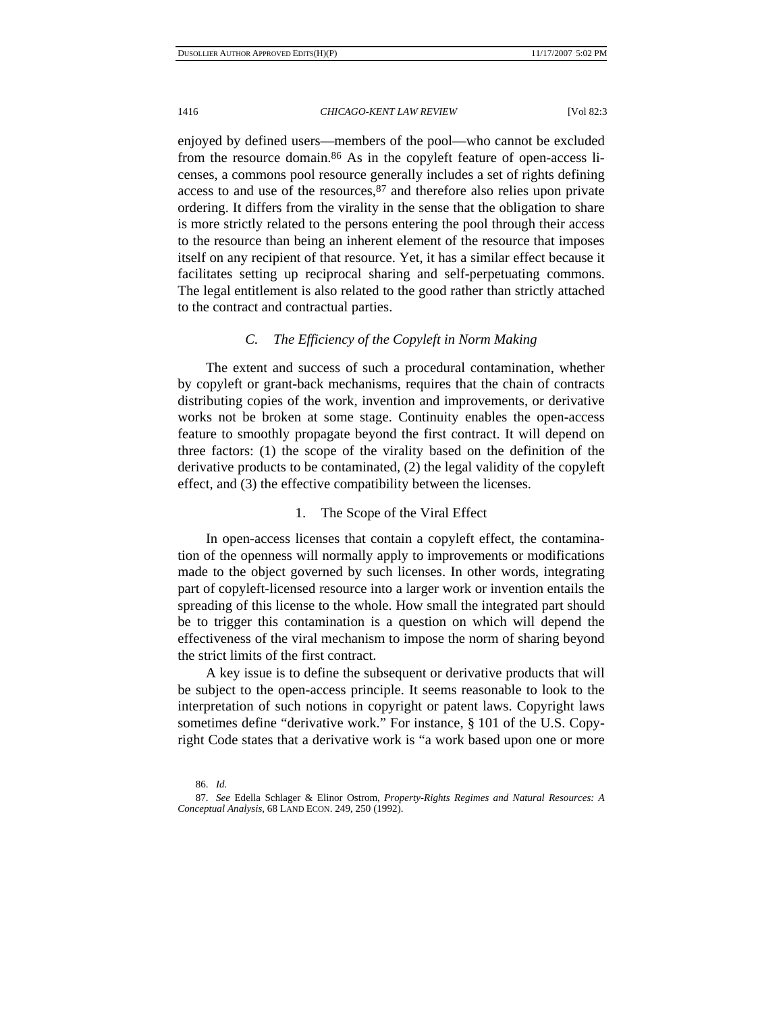enjoyed by defined users—members of the pool—who cannot be excluded from the resource domain.86 As in the copyleft feature of open-access licenses, a commons pool resource generally includes a set of rights defining access to and use of the resources,  $87$  and therefore also relies upon private ordering. It differs from the virality in the sense that the obligation to share is more strictly related to the persons entering the pool through their access to the resource than being an inherent element of the resource that imposes itself on any recipient of that resource. Yet, it has a similar effect because it facilitates setting up reciprocal sharing and self-perpetuating commons. The legal entitlement is also related to the good rather than strictly attached to the contract and contractual parties.

# *C. The Efficiency of the Copyleft in Norm Making*

The extent and success of such a procedural contamination, whether by copyleft or grant-back mechanisms, requires that the chain of contracts distributing copies of the work, invention and improvements, or derivative works not be broken at some stage. Continuity enables the open-access feature to smoothly propagate beyond the first contract. It will depend on three factors: (1) the scope of the virality based on the definition of the derivative products to be contaminated, (2) the legal validity of the copyleft effect, and (3) the effective compatibility between the licenses.

# 1. The Scope of the Viral Effect

In open-access licenses that contain a copyleft effect, the contamination of the openness will normally apply to improvements or modifications made to the object governed by such licenses. In other words, integrating part of copyleft-licensed resource into a larger work or invention entails the spreading of this license to the whole. How small the integrated part should be to trigger this contamination is a question on which will depend the effectiveness of the viral mechanism to impose the norm of sharing beyond the strict limits of the first contract.

A key issue is to define the subsequent or derivative products that will be subject to the open-access principle. It seems reasonable to look to the interpretation of such notions in copyright or patent laws. Copyright laws sometimes define "derivative work." For instance, § 101 of the U.S. Copyright Code states that a derivative work is "a work based upon one or more

 <sup>86.</sup> *Id.*

 <sup>87.</sup> *See* Edella Schlager & Elinor Ostrom, *Property-Rights Regimes and Natural Resources: A Conceptual Analysis*, 68 LAND ECON. 249, 250 (1992).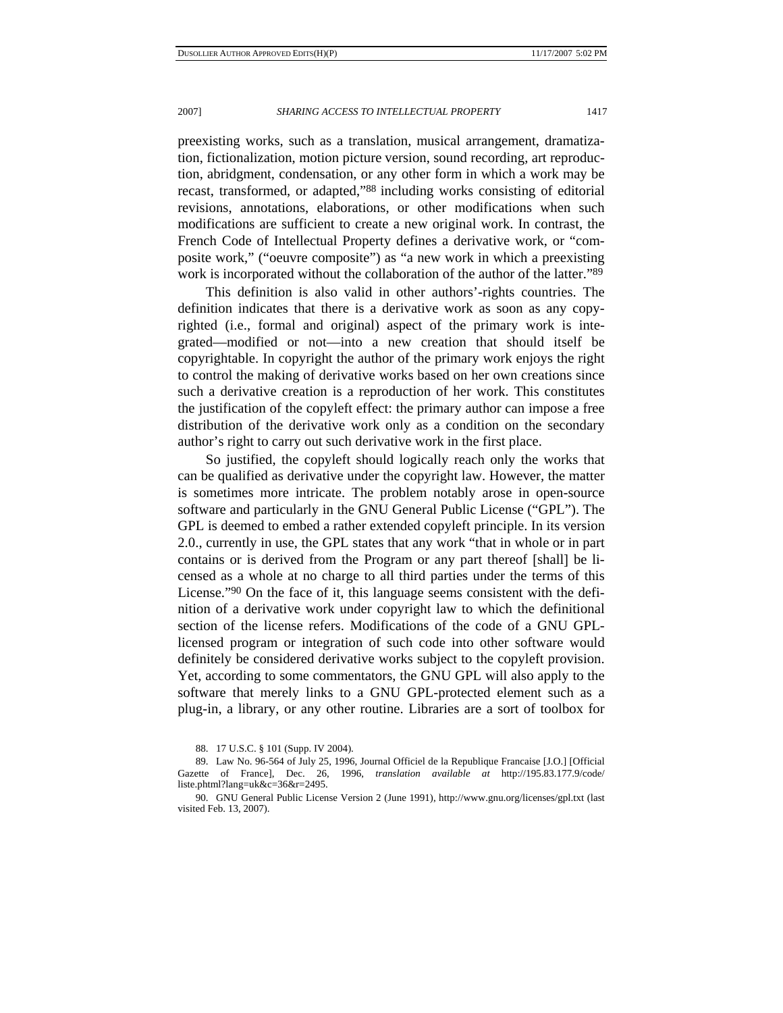preexisting works, such as a translation, musical arrangement, dramatization, fictionalization, motion picture version, sound recording, art reproduction, abridgment, condensation, or any other form in which a work may be recast, transformed, or adapted,"88 including works consisting of editorial revisions, annotations, elaborations, or other modifications when such modifications are sufficient to create a new original work. In contrast, the French Code of Intellectual Property defines a derivative work, or "composite work," ("oeuvre composite") as "a new work in which a preexisting work is incorporated without the collaboration of the author of the latter."<sup>89</sup>

This definition is also valid in other authors'-rights countries. The definition indicates that there is a derivative work as soon as any copyrighted (i.e., formal and original) aspect of the primary work is integrated—modified or not—into a new creation that should itself be copyrightable. In copyright the author of the primary work enjoys the right to control the making of derivative works based on her own creations since such a derivative creation is a reproduction of her work. This constitutes the justification of the copyleft effect: the primary author can impose a free distribution of the derivative work only as a condition on the secondary author's right to carry out such derivative work in the first place.

So justified, the copyleft should logically reach only the works that can be qualified as derivative under the copyright law. However, the matter is sometimes more intricate. The problem notably arose in open-source software and particularly in the GNU General Public License ("GPL"). The GPL is deemed to embed a rather extended copyleft principle. In its version 2.0., currently in use, the GPL states that any work "that in whole or in part contains or is derived from the Program or any part thereof [shall] be licensed as a whole at no charge to all third parties under the terms of this License."90 On the face of it, this language seems consistent with the definition of a derivative work under copyright law to which the definitional section of the license refers. Modifications of the code of a GNU GPLlicensed program or integration of such code into other software would definitely be considered derivative works subject to the copyleft provision. Yet, according to some commentators, the GNU GPL will also apply to the software that merely links to a GNU GPL-protected element such as a plug-in, a library, or any other routine. Libraries are a sort of toolbox for

 <sup>88. 17</sup> U.S.C. § 101 (Supp. IV 2004).

 <sup>89.</sup> Law No. 96-564 of July 25, 1996, Journal Officiel de la Republique Francaise [J.O.] [Official Gazette of France], Dec. 26, 1996, *translation available at* http://195.83.177.9/code/ liste.phtml?lang=uk&c=36&r=2495.

 <sup>90.</sup> GNU General Public License Version 2 (June 1991), http://www.gnu.org/licenses/gpl.txt (last visited Feb. 13, 2007).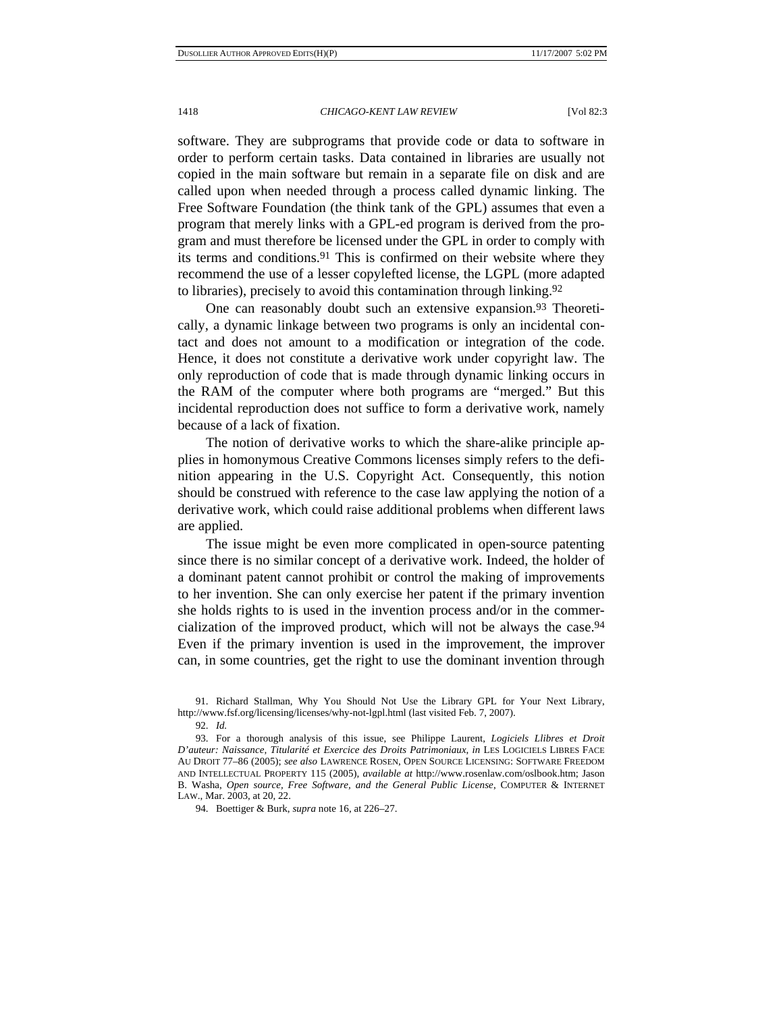software. They are subprograms that provide code or data to software in order to perform certain tasks. Data contained in libraries are usually not copied in the main software but remain in a separate file on disk and are called upon when needed through a process called dynamic linking. The Free Software Foundation (the think tank of the GPL) assumes that even a program that merely links with a GPL-ed program is derived from the program and must therefore be licensed under the GPL in order to comply with its terms and conditions.91 This is confirmed on their website where they recommend the use of a lesser copylefted license, the LGPL (more adapted to libraries), precisely to avoid this contamination through linking.92

One can reasonably doubt such an extensive expansion.<sup>93</sup> Theoretically, a dynamic linkage between two programs is only an incidental contact and does not amount to a modification or integration of the code. Hence, it does not constitute a derivative work under copyright law. The only reproduction of code that is made through dynamic linking occurs in the RAM of the computer where both programs are "merged." But this incidental reproduction does not suffice to form a derivative work, namely because of a lack of fixation.

The notion of derivative works to which the share-alike principle applies in homonymous Creative Commons licenses simply refers to the definition appearing in the U.S. Copyright Act. Consequently, this notion should be construed with reference to the case law applying the notion of a derivative work, which could raise additional problems when different laws are applied.

The issue might be even more complicated in open-source patenting since there is no similar concept of a derivative work. Indeed, the holder of a dominant patent cannot prohibit or control the making of improvements to her invention. She can only exercise her patent if the primary invention she holds rights to is used in the invention process and/or in the commercialization of the improved product, which will not be always the case.94 Even if the primary invention is used in the improvement, the improver can, in some countries, get the right to use the dominant invention through

 <sup>91.</sup> Richard Stallman, Why You Should Not Use the Library GPL for Your Next Library, http://www.fsf.org/licensing/licenses/why-not-lgpl.html (last visited Feb. 7, 2007).

 <sup>92.</sup> *Id.*

 <sup>93.</sup> For a thorough analysis of this issue, see Philippe Laurent, *Logiciels Llibres et Droit D'auteur: Naissance, Titularité et Exercice des Droits Patrimoniaux*, *in* LES LOGICIELS LIBRES FACE AU DROIT 77–86 (2005); *see also* LAWRENCE ROSEN, OPEN SOURCE LICENSING: SOFTWARE FREEDOM AND INTELLECTUAL PROPERTY 115 (2005), *available at* http://www.rosenlaw.com/oslbook.htm; Jason B. Washa, *Open source, Free Software, and the General Public License*, COMPUTER & INTERNET LAW., Mar. 2003, at 20, 22.

 <sup>94.</sup> Boettiger & Burk, *supra* note 16, at 226–27.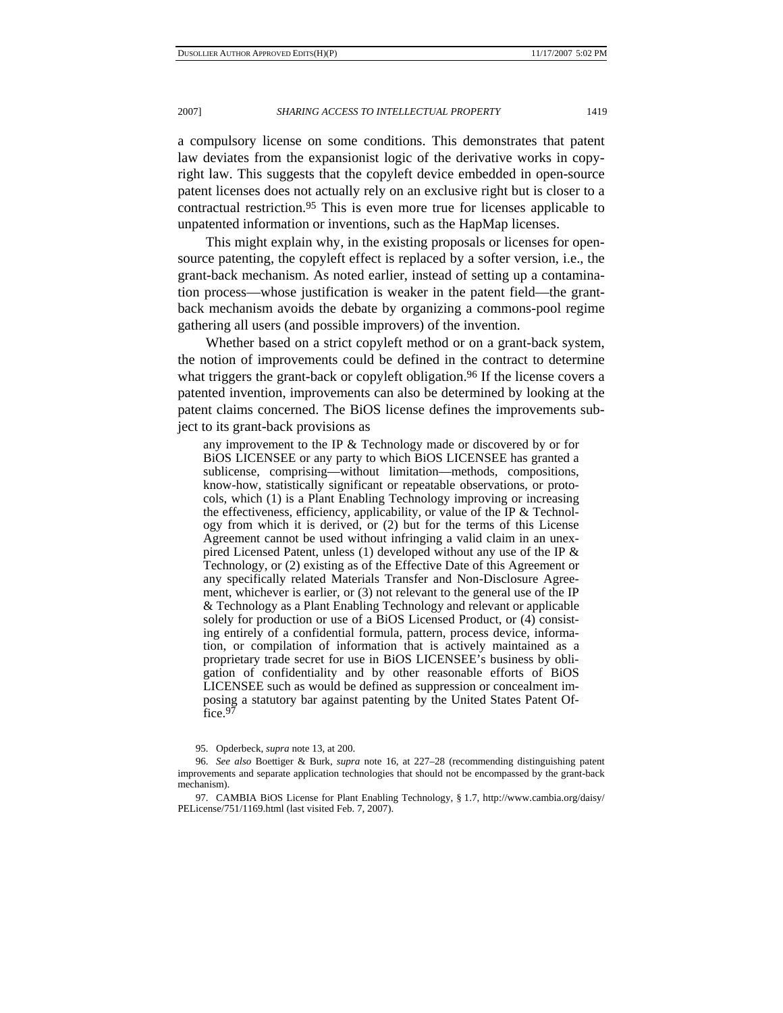a compulsory license on some conditions. This demonstrates that patent law deviates from the expansionist logic of the derivative works in copyright law. This suggests that the copyleft device embedded in open-source patent licenses does not actually rely on an exclusive right but is closer to a contractual restriction.95 This is even more true for licenses applicable to unpatented information or inventions, such as the HapMap licenses.

This might explain why, in the existing proposals or licenses for opensource patenting, the copyleft effect is replaced by a softer version, i.e., the grant-back mechanism. As noted earlier, instead of setting up a contamination process—whose justification is weaker in the patent field—the grantback mechanism avoids the debate by organizing a commons-pool regime gathering all users (and possible improvers) of the invention.

Whether based on a strict copyleft method or on a grant-back system, the notion of improvements could be defined in the contract to determine what triggers the grant-back or copyleft obligation.<sup>96</sup> If the license covers a patented invention, improvements can also be determined by looking at the patent claims concerned. The BiOS license defines the improvements subject to its grant-back provisions as

any improvement to the IP & Technology made or discovered by or for BiOS LICENSEE or any party to which BiOS LICENSEE has granted a sublicense, comprising—without limitation—methods, compositions, know-how, statistically significant or repeatable observations, or protocols, which (1) is a Plant Enabling Technology improving or increasing the effectiveness, efficiency, applicability, or value of the IP & Technology from which it is derived, or (2) but for the terms of this License Agreement cannot be used without infringing a valid claim in an unexpired Licensed Patent, unless (1) developed without any use of the IP & Technology, or (2) existing as of the Effective Date of this Agreement or any specifically related Materials Transfer and Non-Disclosure Agreement, whichever is earlier, or (3) not relevant to the general use of the IP & Technology as a Plant Enabling Technology and relevant or applicable solely for production or use of a BiOS Licensed Product, or (4) consisting entirely of a confidential formula, pattern, process device, information, or compilation of information that is actively maintained as a proprietary trade secret for use in BiOS LICENSEE's business by obligation of confidentiality and by other reasonable efforts of BiOS LICENSEE such as would be defined as suppression or concealment imposing a statutory bar against patenting by the United States Patent Office.<sup>97</sup>

 97. CAMBIA BiOS License for Plant Enabling Technology, § 1.7, http://www.cambia.org/daisy/ PELicense/751/1169.html (last visited Feb. 7, 2007).

 <sup>95.</sup> Opderbeck, *supra* note 13, at 200.

 <sup>96.</sup> *See also* Boettiger & Burk, *supra* note 16, at 227–28 (recommending distinguishing patent improvements and separate application technologies that should not be encompassed by the grant-back mechanism).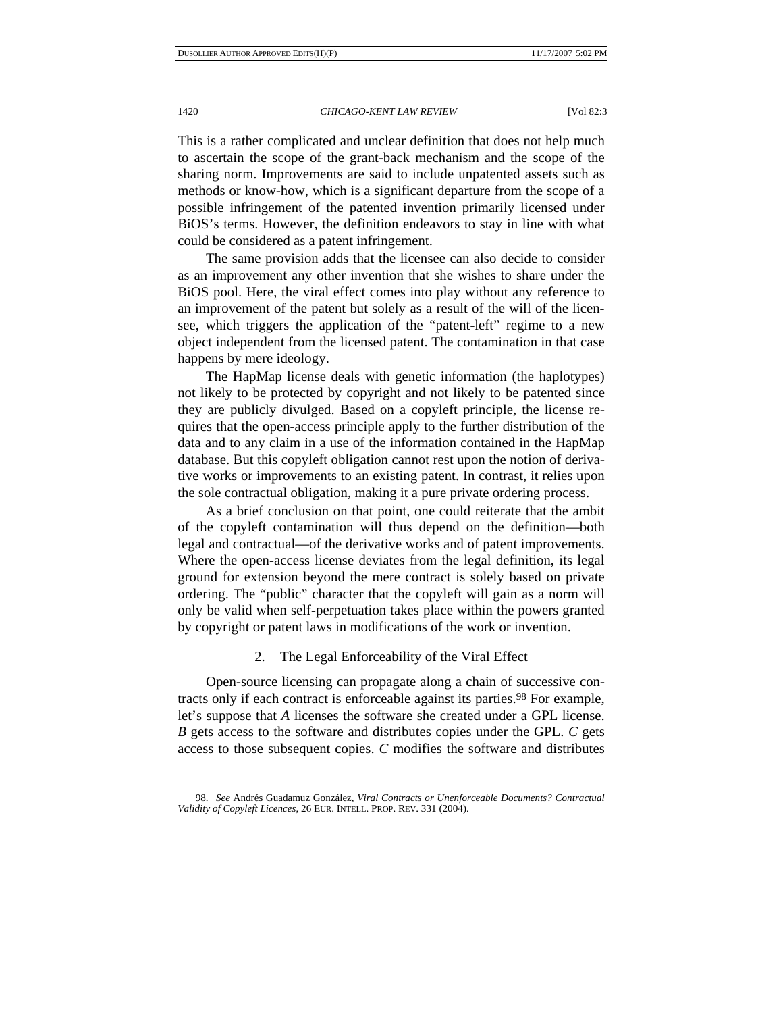This is a rather complicated and unclear definition that does not help much to ascertain the scope of the grant-back mechanism and the scope of the sharing norm. Improvements are said to include unpatented assets such as methods or know-how, which is a significant departure from the scope of a possible infringement of the patented invention primarily licensed under BiOS's terms. However, the definition endeavors to stay in line with what could be considered as a patent infringement.

The same provision adds that the licensee can also decide to consider as an improvement any other invention that she wishes to share under the BiOS pool. Here, the viral effect comes into play without any reference to an improvement of the patent but solely as a result of the will of the licensee, which triggers the application of the "patent-left" regime to a new object independent from the licensed patent. The contamination in that case happens by mere ideology.

The HapMap license deals with genetic information (the haplotypes) not likely to be protected by copyright and not likely to be patented since they are publicly divulged. Based on a copyleft principle, the license requires that the open-access principle apply to the further distribution of the data and to any claim in a use of the information contained in the HapMap database. But this copyleft obligation cannot rest upon the notion of derivative works or improvements to an existing patent. In contrast, it relies upon the sole contractual obligation, making it a pure private ordering process.

As a brief conclusion on that point, one could reiterate that the ambit of the copyleft contamination will thus depend on the definition—both legal and contractual—of the derivative works and of patent improvements. Where the open-access license deviates from the legal definition, its legal ground for extension beyond the mere contract is solely based on private ordering. The "public" character that the copyleft will gain as a norm will only be valid when self-perpetuation takes place within the powers granted by copyright or patent laws in modifications of the work or invention.

# 2. The Legal Enforceability of the Viral Effect

Open-source licensing can propagate along a chain of successive contracts only if each contract is enforceable against its parties.98 For example, let's suppose that *A* licenses the software she created under a GPL license. *B* gets access to the software and distributes copies under the GPL. *C* gets access to those subsequent copies. *C* modifies the software and distributes

 <sup>98.</sup> *See* Andrés Guadamuz González, *Viral Contracts or Unenforceable Documents? Contractual Validity of Copyleft Licences*, 26 EUR. INTELL. PROP. REV. 331 (2004).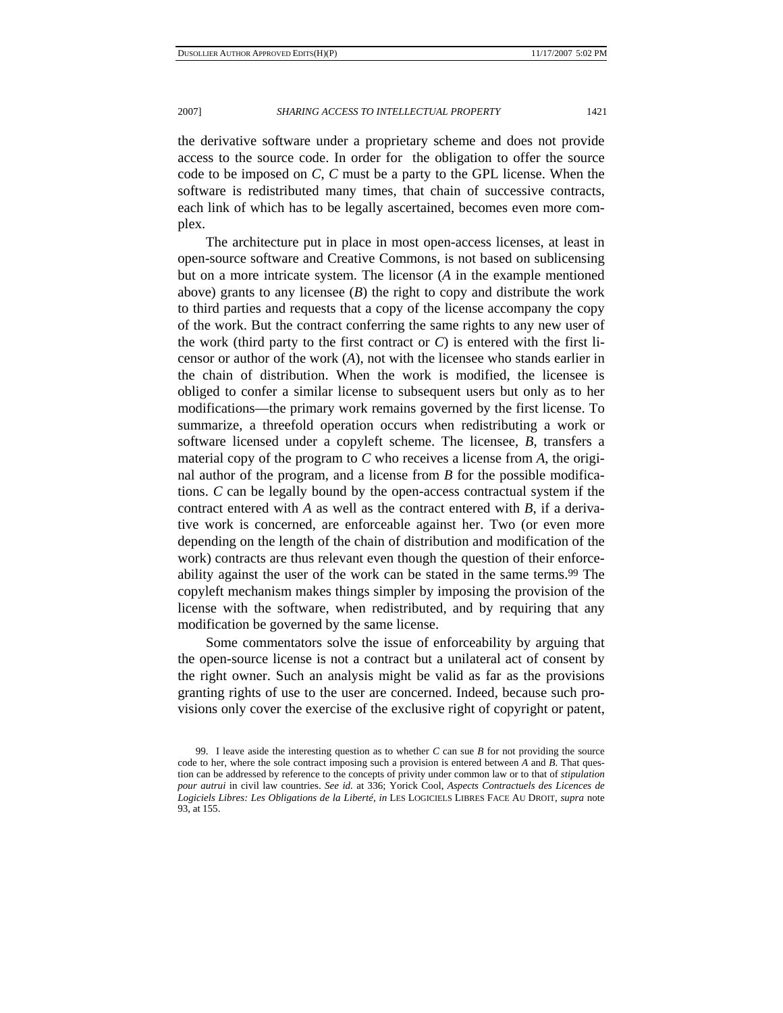the derivative software under a proprietary scheme and does not provide access to the source code. In order for the obligation to offer the source code to be imposed on *C*, *C* must be a party to the GPL license. When the software is redistributed many times, that chain of successive contracts, each link of which has to be legally ascertained, becomes even more complex.

The architecture put in place in most open-access licenses, at least in open-source software and Creative Commons, is not based on sublicensing but on a more intricate system. The licensor (*A* in the example mentioned above) grants to any licensee (*B*) the right to copy and distribute the work to third parties and requests that a copy of the license accompany the copy of the work. But the contract conferring the same rights to any new user of the work (third party to the first contract or  $C$ ) is entered with the first licensor or author of the work (*A*), not with the licensee who stands earlier in the chain of distribution. When the work is modified, the licensee is obliged to confer a similar license to subsequent users but only as to her modifications—the primary work remains governed by the first license. To summarize, a threefold operation occurs when redistributing a work or software licensed under a copyleft scheme. The licensee, *B*, transfers a material copy of the program to *C* who receives a license from *A*, the original author of the program, and a license from *B* for the possible modifications. *C* can be legally bound by the open-access contractual system if the contract entered with *A* as well as the contract entered with *B*, if a derivative work is concerned, are enforceable against her. Two (or even more depending on the length of the chain of distribution and modification of the work) contracts are thus relevant even though the question of their enforceability against the user of the work can be stated in the same terms.<sup>99</sup> The copyleft mechanism makes things simpler by imposing the provision of the license with the software, when redistributed, and by requiring that any modification be governed by the same license.

Some commentators solve the issue of enforceability by arguing that the open-source license is not a contract but a unilateral act of consent by the right owner. Such an analysis might be valid as far as the provisions granting rights of use to the user are concerned. Indeed, because such provisions only cover the exercise of the exclusive right of copyright or patent,

 <sup>99.</sup> I leave aside the interesting question as to whether *C* can sue *B* for not providing the source code to her, where the sole contract imposing such a provision is entered between *A* and *B*. That question can be addressed by reference to the concepts of privity under common law or to that of *stipulation pour autrui* in civil law countries. *See id.* at 336; Yorick Cool, *Aspects Contractuels des Licences de Logiciels Libres: Les Obligations de la Liberté*, *in* LES LOGICIELS LIBRES FACE AU DROIT, *supra* note 93, at 155.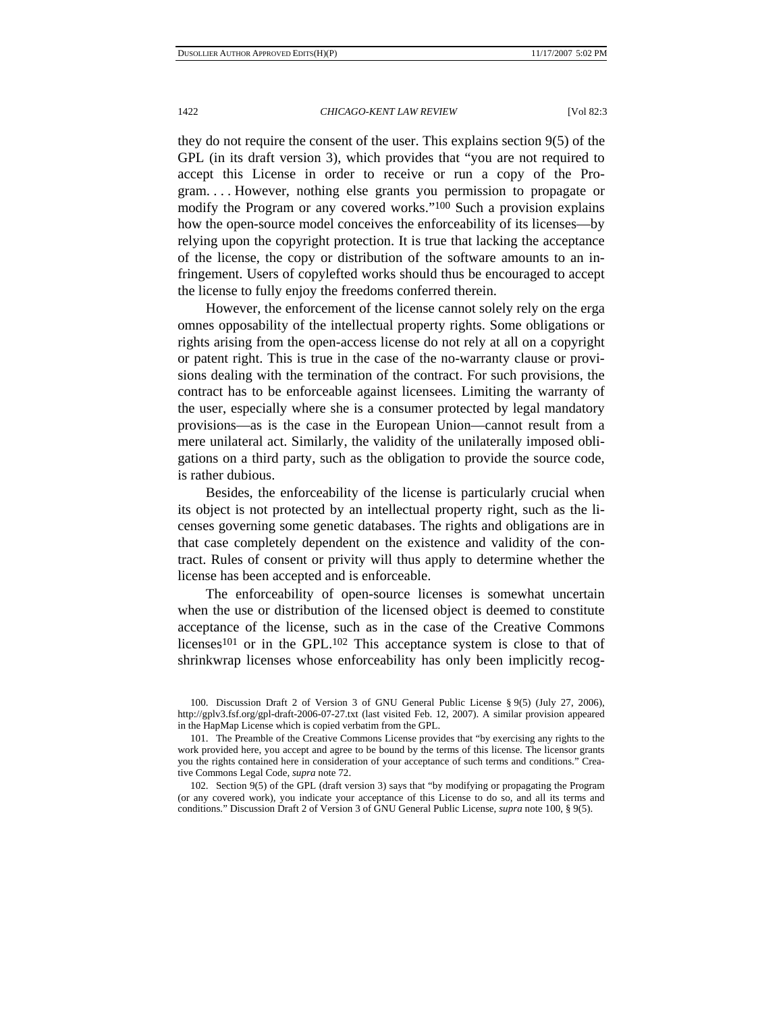they do not require the consent of the user. This explains section 9(5) of the GPL (in its draft version 3), which provides that "you are not required to accept this License in order to receive or run a copy of the Program. . . . However, nothing else grants you permission to propagate or modify the Program or any covered works."100 Such a provision explains how the open-source model conceives the enforceability of its licenses—by relying upon the copyright protection. It is true that lacking the acceptance of the license, the copy or distribution of the software amounts to an infringement. Users of copylefted works should thus be encouraged to accept the license to fully enjoy the freedoms conferred therein.

However, the enforcement of the license cannot solely rely on the erga omnes opposability of the intellectual property rights. Some obligations or rights arising from the open-access license do not rely at all on a copyright or patent right. This is true in the case of the no-warranty clause or provisions dealing with the termination of the contract. For such provisions, the contract has to be enforceable against licensees. Limiting the warranty of the user, especially where she is a consumer protected by legal mandatory provisions—as is the case in the European Union—cannot result from a mere unilateral act. Similarly, the validity of the unilaterally imposed obligations on a third party, such as the obligation to provide the source code, is rather dubious.

Besides, the enforceability of the license is particularly crucial when its object is not protected by an intellectual property right, such as the licenses governing some genetic databases. The rights and obligations are in that case completely dependent on the existence and validity of the contract. Rules of consent or privity will thus apply to determine whether the license has been accepted and is enforceable.

The enforceability of open-source licenses is somewhat uncertain when the use or distribution of the licensed object is deemed to constitute acceptance of the license, such as in the case of the Creative Commons licenses<sup>101</sup> or in the GPL.<sup>102</sup> This acceptance system is close to that of shrinkwrap licenses whose enforceability has only been implicitly recog-

 <sup>100.</sup> Discussion Draft 2 of Version 3 of GNU General Public License § 9(5) (July 27, 2006), http://gplv3.fsf.org/gpl-draft-2006-07-27.txt (last visited Feb. 12, 2007). A similar provision appeared in the HapMap License which is copied verbatim from the GPL.

 <sup>101.</sup> The Preamble of the Creative Commons License provides that "by exercising any rights to the work provided here, you accept and agree to be bound by the terms of this license. The licensor grants you the rights contained here in consideration of your acceptance of such terms and conditions." Creative Commons Legal Code, *supra* note 72.

 <sup>102.</sup> Section 9(5) of the GPL (draft version 3) says that "by modifying or propagating the Program (or any covered work), you indicate your acceptance of this License to do so, and all its terms and conditions." Discussion Draft 2 of Version 3 of GNU General Public License, *supra* note 100, § 9(5).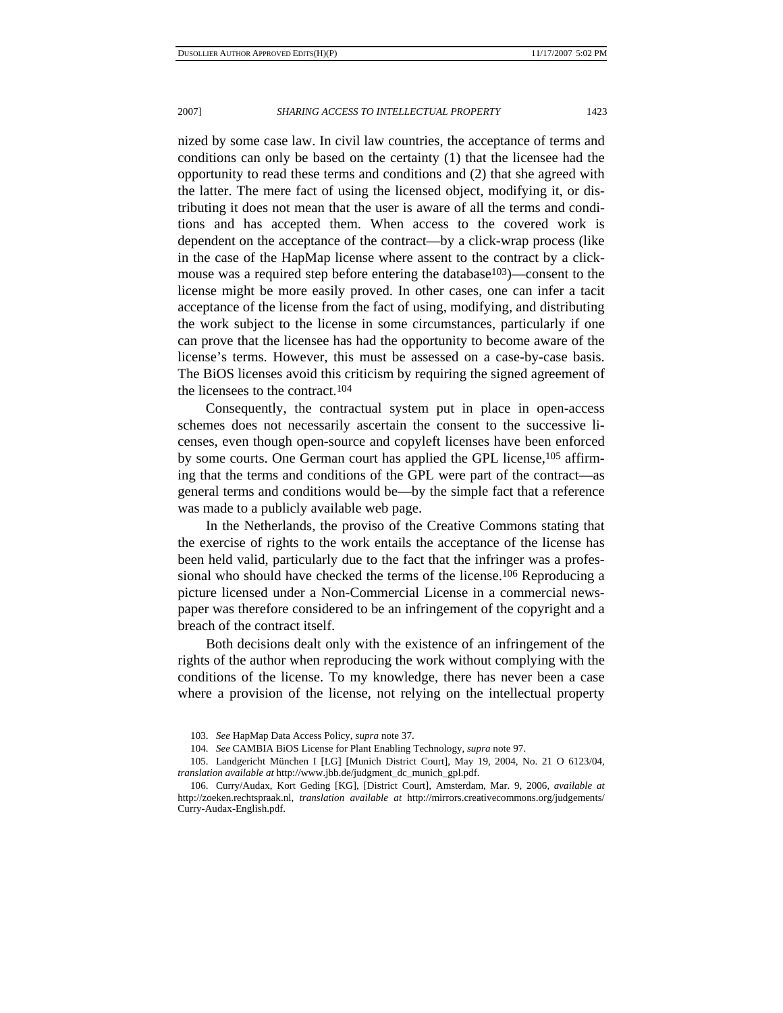nized by some case law. In civil law countries, the acceptance of terms and conditions can only be based on the certainty (1) that the licensee had the opportunity to read these terms and conditions and (2) that she agreed with the latter. The mere fact of using the licensed object, modifying it, or distributing it does not mean that the user is aware of all the terms and conditions and has accepted them. When access to the covered work is dependent on the acceptance of the contract—by a click-wrap process (like in the case of the HapMap license where assent to the contract by a clickmouse was a required step before entering the database<sup>103</sup>)—consent to the license might be more easily proved. In other cases, one can infer a tacit acceptance of the license from the fact of using, modifying, and distributing the work subject to the license in some circumstances, particularly if one can prove that the licensee has had the opportunity to become aware of the license's terms. However, this must be assessed on a case-by-case basis. The BiOS licenses avoid this criticism by requiring the signed agreement of the licensees to the contract.104

Consequently, the contractual system put in place in open-access schemes does not necessarily ascertain the consent to the successive licenses, even though open-source and copyleft licenses have been enforced by some courts. One German court has applied the GPL license,105 affirming that the terms and conditions of the GPL were part of the contract—as general terms and conditions would be—by the simple fact that a reference was made to a publicly available web page.

In the Netherlands, the proviso of the Creative Commons stating that the exercise of rights to the work entails the acceptance of the license has been held valid, particularly due to the fact that the infringer was a professional who should have checked the terms of the license.106 Reproducing a picture licensed under a Non-Commercial License in a commercial newspaper was therefore considered to be an infringement of the copyright and a breach of the contract itself.

Both decisions dealt only with the existence of an infringement of the rights of the author when reproducing the work without complying with the conditions of the license. To my knowledge, there has never been a case where a provision of the license, not relying on the intellectual property

 <sup>103.</sup> *See* HapMap Data Access Policy, *supra* note 37.

 <sup>104.</sup> *See* CAMBIA BiOS License for Plant Enabling Technology, *supra* note 97.

 <sup>105.</sup> Landgericht München I [LG] [Munich District Court], May 19, 2004, No. 21 O 6123/04, *translation available at* http://www.jbb.de/judgment\_dc\_munich\_gpl.pdf.

 <sup>106.</sup> Curry/Audax, Kort Geding [KG], [District Court], Amsterdam, Mar. 9, 2006, *available at* http://zoeken.rechtspraak.nl, *translation available at* http://mirrors.creativecommons.org/judgements/ Curry-Audax-English.pdf.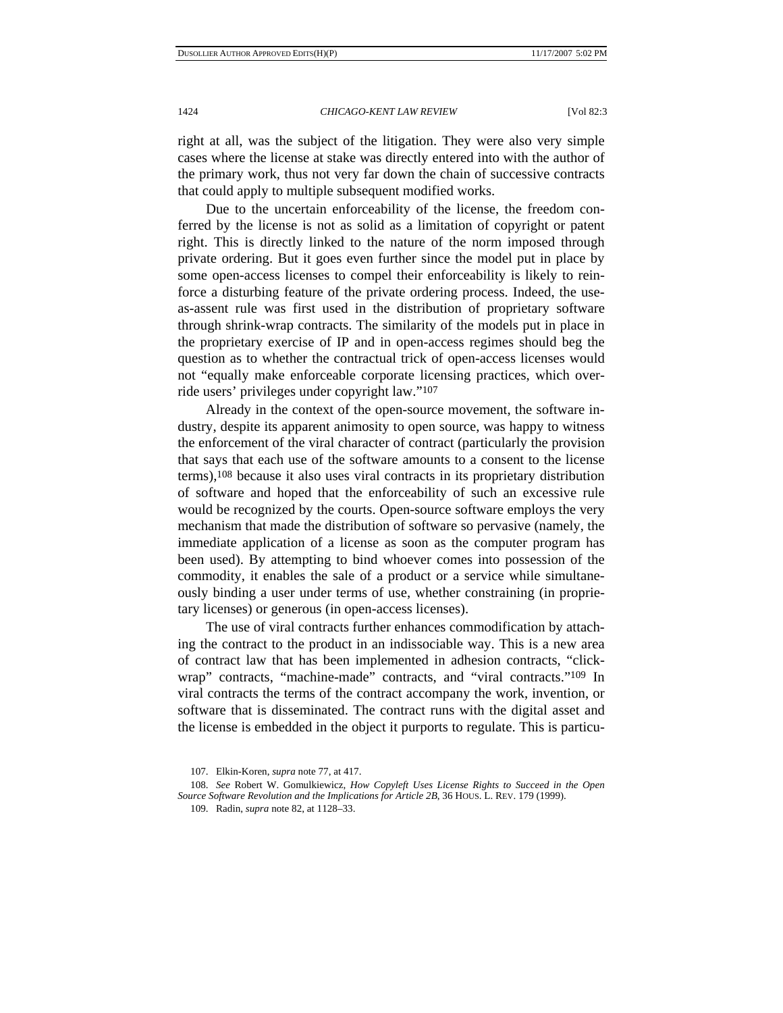right at all, was the subject of the litigation. They were also very simple cases where the license at stake was directly entered into with the author of the primary work, thus not very far down the chain of successive contracts that could apply to multiple subsequent modified works.

Due to the uncertain enforceability of the license, the freedom conferred by the license is not as solid as a limitation of copyright or patent right. This is directly linked to the nature of the norm imposed through private ordering. But it goes even further since the model put in place by some open-access licenses to compel their enforceability is likely to reinforce a disturbing feature of the private ordering process. Indeed, the useas-assent rule was first used in the distribution of proprietary software through shrink-wrap contracts. The similarity of the models put in place in the proprietary exercise of IP and in open-access regimes should beg the question as to whether the contractual trick of open-access licenses would not "equally make enforceable corporate licensing practices, which override users' privileges under copyright law."107

Already in the context of the open-source movement, the software industry, despite its apparent animosity to open source, was happy to witness the enforcement of the viral character of contract (particularly the provision that says that each use of the software amounts to a consent to the license terms),108 because it also uses viral contracts in its proprietary distribution of software and hoped that the enforceability of such an excessive rule would be recognized by the courts. Open-source software employs the very mechanism that made the distribution of software so pervasive (namely, the immediate application of a license as soon as the computer program has been used). By attempting to bind whoever comes into possession of the commodity, it enables the sale of a product or a service while simultaneously binding a user under terms of use, whether constraining (in proprietary licenses) or generous (in open-access licenses).

The use of viral contracts further enhances commodification by attaching the contract to the product in an indissociable way. This is a new area of contract law that has been implemented in adhesion contracts, "clickwrap" contracts, "machine-made" contracts, and "viral contracts."109 In viral contracts the terms of the contract accompany the work, invention, or software that is disseminated. The contract runs with the digital asset and the license is embedded in the object it purports to regulate. This is particu-

 <sup>107.</sup> Elkin-Koren, *supra* note 77, at 417.

<sup>108.</sup> *See* Robert W. Gomulkiewicz, *How Copyleft Uses License Rights to Succeed in the Open Source Software Revolution and the Implications for Article 2B*, 36 HOUS. L. REV. 179 (1999).

 <sup>109.</sup> Radin, *supra* note 82, at 1128–33.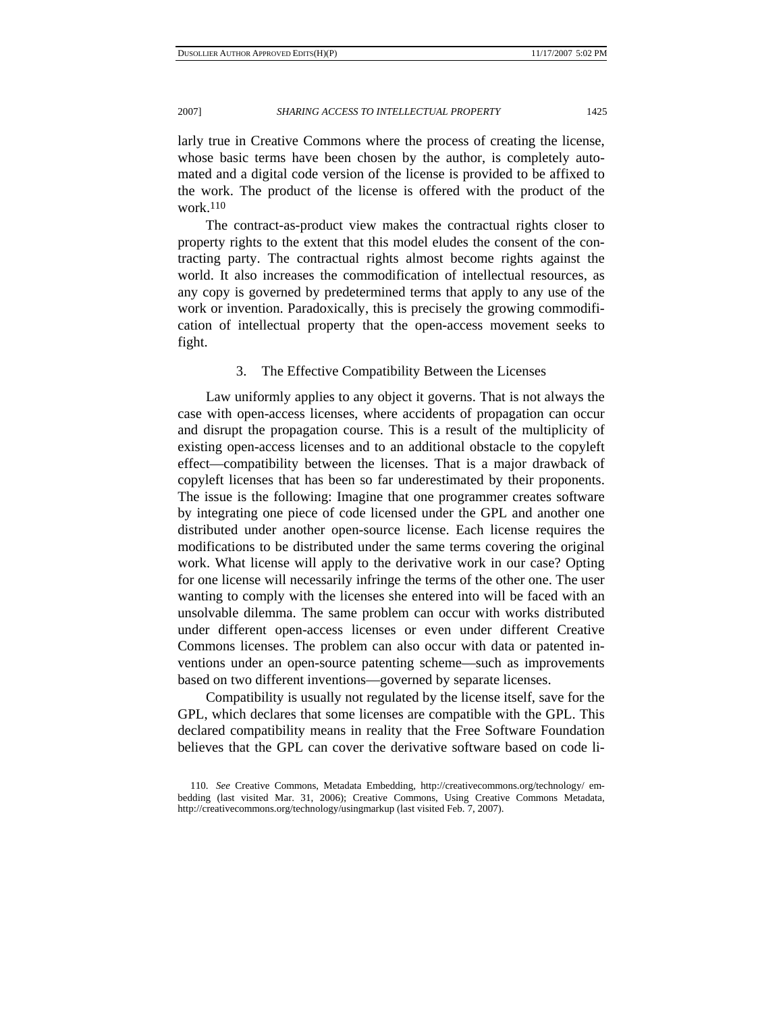larly true in Creative Commons where the process of creating the license, whose basic terms have been chosen by the author, is completely automated and a digital code version of the license is provided to be affixed to the work. The product of the license is offered with the product of the work.110

The contract-as-product view makes the contractual rights closer to property rights to the extent that this model eludes the consent of the contracting party. The contractual rights almost become rights against the world. It also increases the commodification of intellectual resources, as any copy is governed by predetermined terms that apply to any use of the work or invention. Paradoxically, this is precisely the growing commodification of intellectual property that the open-access movement seeks to fight.

# 3. The Effective Compatibility Between the Licenses

Law uniformly applies to any object it governs. That is not always the case with open-access licenses, where accidents of propagation can occur and disrupt the propagation course. This is a result of the multiplicity of existing open-access licenses and to an additional obstacle to the copyleft effect—compatibility between the licenses. That is a major drawback of copyleft licenses that has been so far underestimated by their proponents. The issue is the following: Imagine that one programmer creates software by integrating one piece of code licensed under the GPL and another one distributed under another open-source license. Each license requires the modifications to be distributed under the same terms covering the original work. What license will apply to the derivative work in our case? Opting for one license will necessarily infringe the terms of the other one. The user wanting to comply with the licenses she entered into will be faced with an unsolvable dilemma. The same problem can occur with works distributed under different open-access licenses or even under different Creative Commons licenses. The problem can also occur with data or patented inventions under an open-source patenting scheme—such as improvements based on two different inventions—governed by separate licenses.

Compatibility is usually not regulated by the license itself, save for the GPL, which declares that some licenses are compatible with the GPL. This declared compatibility means in reality that the Free Software Foundation believes that the GPL can cover the derivative software based on code li-

 <sup>110.</sup> *See* Creative Commons, Metadata Embedding, http://creativecommons.org/technology/ embedding (last visited Mar. 31, 2006); Creative Commons, Using Creative Commons Metadata, http://creativecommons.org/technology/usingmarkup (last visited Feb. 7, 2007).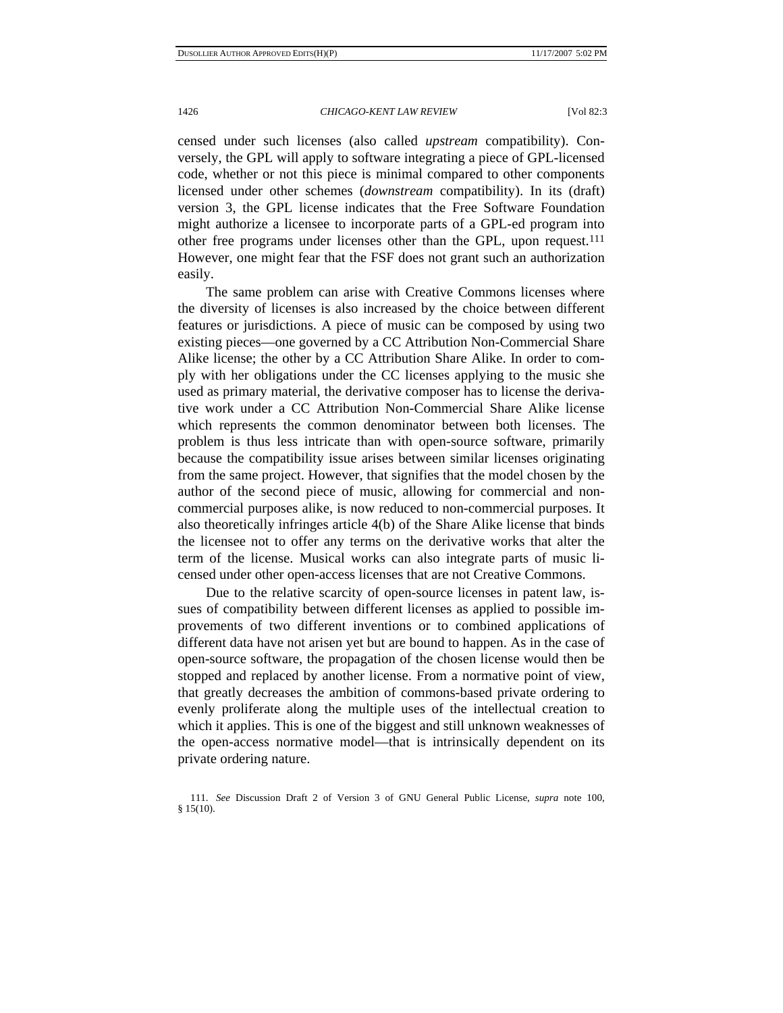censed under such licenses (also called *upstream* compatibility). Conversely, the GPL will apply to software integrating a piece of GPL-licensed code, whether or not this piece is minimal compared to other components licensed under other schemes (*downstream* compatibility). In its (draft) version 3, the GPL license indicates that the Free Software Foundation might authorize a licensee to incorporate parts of a GPL-ed program into other free programs under licenses other than the GPL, upon request.111 However, one might fear that the FSF does not grant such an authorization easily.

The same problem can arise with Creative Commons licenses where the diversity of licenses is also increased by the choice between different features or jurisdictions. A piece of music can be composed by using two existing pieces—one governed by a CC Attribution Non-Commercial Share Alike license; the other by a CC Attribution Share Alike. In order to comply with her obligations under the CC licenses applying to the music she used as primary material, the derivative composer has to license the derivative work under a CC Attribution Non-Commercial Share Alike license which represents the common denominator between both licenses. The problem is thus less intricate than with open-source software, primarily because the compatibility issue arises between similar licenses originating from the same project. However, that signifies that the model chosen by the author of the second piece of music, allowing for commercial and noncommercial purposes alike, is now reduced to non-commercial purposes. It also theoretically infringes article 4(b) of the Share Alike license that binds the licensee not to offer any terms on the derivative works that alter the term of the license. Musical works can also integrate parts of music licensed under other open-access licenses that are not Creative Commons.

Due to the relative scarcity of open-source licenses in patent law, issues of compatibility between different licenses as applied to possible improvements of two different inventions or to combined applications of different data have not arisen yet but are bound to happen. As in the case of open-source software, the propagation of the chosen license would then be stopped and replaced by another license. From a normative point of view, that greatly decreases the ambition of commons-based private ordering to evenly proliferate along the multiple uses of the intellectual creation to which it applies. This is one of the biggest and still unknown weaknesses of the open-access normative model—that is intrinsically dependent on its private ordering nature.

 <sup>111.</sup> *See* Discussion Draft 2 of Version 3 of GNU General Public License, *supra* note 100, § 15(10).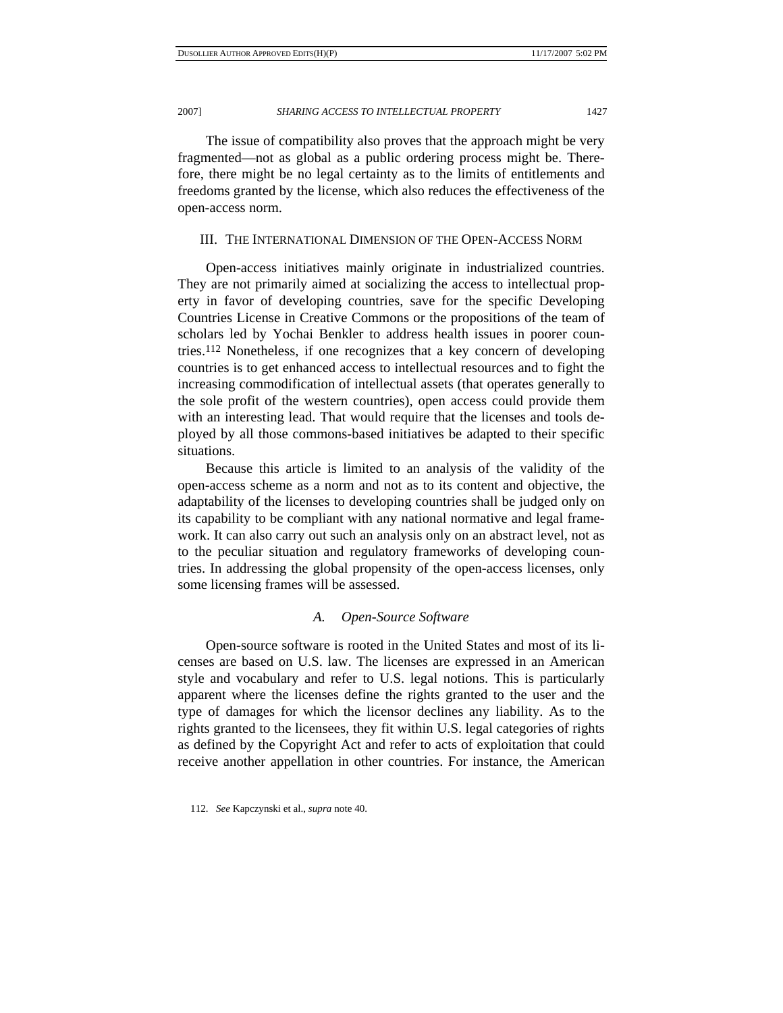The issue of compatibility also proves that the approach might be very fragmented—not as global as a public ordering process might be. Therefore, there might be no legal certainty as to the limits of entitlements and freedoms granted by the license, which also reduces the effectiveness of the open-access norm.

# III. THE INTERNATIONAL DIMENSION OF THE OPEN-ACCESS NORM

Open-access initiatives mainly originate in industrialized countries. They are not primarily aimed at socializing the access to intellectual property in favor of developing countries, save for the specific Developing Countries License in Creative Commons or the propositions of the team of scholars led by Yochai Benkler to address health issues in poorer countries.112 Nonetheless, if one recognizes that a key concern of developing countries is to get enhanced access to intellectual resources and to fight the increasing commodification of intellectual assets (that operates generally to the sole profit of the western countries), open access could provide them with an interesting lead. That would require that the licenses and tools deployed by all those commons-based initiatives be adapted to their specific situations.

Because this article is limited to an analysis of the validity of the open-access scheme as a norm and not as to its content and objective, the adaptability of the licenses to developing countries shall be judged only on its capability to be compliant with any national normative and legal framework. It can also carry out such an analysis only on an abstract level, not as to the peculiar situation and regulatory frameworks of developing countries. In addressing the global propensity of the open-access licenses, only some licensing frames will be assessed.

### *A. Open-Source Software*

Open-source software is rooted in the United States and most of its licenses are based on U.S. law. The licenses are expressed in an American style and vocabulary and refer to U.S. legal notions. This is particularly apparent where the licenses define the rights granted to the user and the type of damages for which the licensor declines any liability. As to the rights granted to the licensees, they fit within U.S. legal categories of rights as defined by the Copyright Act and refer to acts of exploitation that could receive another appellation in other countries. For instance, the American

 <sup>112.</sup> *See* Kapczynski et al., *supra* note 40.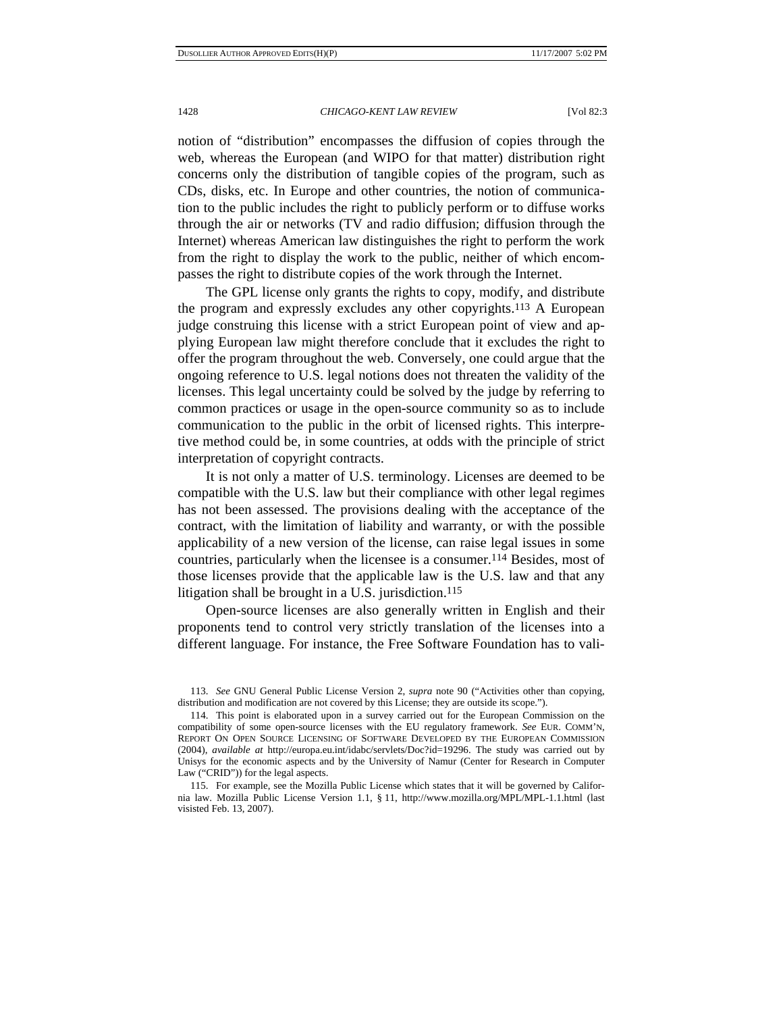notion of "distribution" encompasses the diffusion of copies through the web, whereas the European (and WIPO for that matter) distribution right concerns only the distribution of tangible copies of the program, such as CDs, disks, etc. In Europe and other countries, the notion of communication to the public includes the right to publicly perform or to diffuse works through the air or networks (TV and radio diffusion; diffusion through the Internet) whereas American law distinguishes the right to perform the work from the right to display the work to the public, neither of which encompasses the right to distribute copies of the work through the Internet.

The GPL license only grants the rights to copy, modify, and distribute the program and expressly excludes any other copyrights.113 A European judge construing this license with a strict European point of view and applying European law might therefore conclude that it excludes the right to offer the program throughout the web. Conversely, one could argue that the ongoing reference to U.S. legal notions does not threaten the validity of the licenses. This legal uncertainty could be solved by the judge by referring to common practices or usage in the open-source community so as to include communication to the public in the orbit of licensed rights. This interpretive method could be, in some countries, at odds with the principle of strict interpretation of copyright contracts.

It is not only a matter of U.S. terminology. Licenses are deemed to be compatible with the U.S. law but their compliance with other legal regimes has not been assessed. The provisions dealing with the acceptance of the contract, with the limitation of liability and warranty, or with the possible applicability of a new version of the license, can raise legal issues in some countries, particularly when the licensee is a consumer.114 Besides, most of those licenses provide that the applicable law is the U.S. law and that any litigation shall be brought in a U.S. jurisdiction.<sup>115</sup>

Open-source licenses are also generally written in English and their proponents tend to control very strictly translation of the licenses into a different language. For instance, the Free Software Foundation has to vali-

 <sup>113.</sup> *See* GNU General Public License Version 2, *supra* note 90 ("Activities other than copying, distribution and modification are not covered by this License; they are outside its scope.").

 <sup>114.</sup> This point is elaborated upon in a survey carried out for the European Commission on the compatibility of some open-source licenses with the EU regulatory framework. *See* EUR. COMM'N, REPORT ON OPEN SOURCE LICENSING OF SOFTWARE DEVELOPED BY THE EUROPEAN COMMISSION (2004), *available at* http://europa.eu.int/idabc/servlets/Doc?id=19296. The study was carried out by Unisys for the economic aspects and by the University of Namur (Center for Research in Computer Law ("CRID")) for the legal aspects.

 <sup>115.</sup> For example, see the Mozilla Public License which states that it will be governed by California law. Mozilla Public License Version 1.1, § 11, http://www.mozilla.org/MPL/MPL-1.1.html (last visisted Feb. 13, 2007).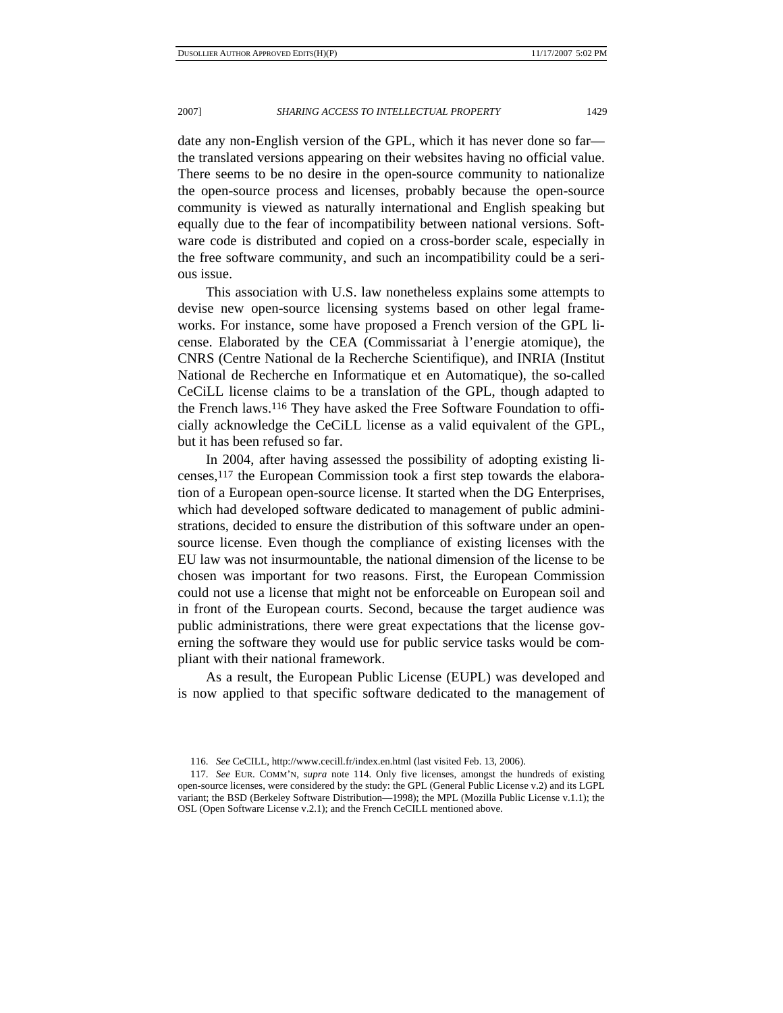date any non-English version of the GPL, which it has never done so far the translated versions appearing on their websites having no official value. There seems to be no desire in the open-source community to nationalize the open-source process and licenses, probably because the open-source community is viewed as naturally international and English speaking but equally due to the fear of incompatibility between national versions. Software code is distributed and copied on a cross-border scale, especially in the free software community, and such an incompatibility could be a serious issue.

This association with U.S. law nonetheless explains some attempts to devise new open-source licensing systems based on other legal frameworks. For instance, some have proposed a French version of the GPL license. Elaborated by the CEA (Commissariat à l'energie atomique), the CNRS (Centre National de la Recherche Scientifique), and INRIA (Institut National de Recherche en Informatique et en Automatique), the so-called CeCiLL license claims to be a translation of the GPL, though adapted to the French laws.116 They have asked the Free Software Foundation to officially acknowledge the CeCiLL license as a valid equivalent of the GPL, but it has been refused so far.

In 2004, after having assessed the possibility of adopting existing licenses,117 the European Commission took a first step towards the elaboration of a European open-source license. It started when the DG Enterprises, which had developed software dedicated to management of public administrations, decided to ensure the distribution of this software under an opensource license. Even though the compliance of existing licenses with the EU law was not insurmountable, the national dimension of the license to be chosen was important for two reasons. First, the European Commission could not use a license that might not be enforceable on European soil and in front of the European courts. Second, because the target audience was public administrations, there were great expectations that the license governing the software they would use for public service tasks would be compliant with their national framework.

As a result, the European Public License (EUPL) was developed and is now applied to that specific software dedicated to the management of

 <sup>116.</sup> *See* CeCILL, http://www.cecill.fr/index.en.html (last visited Feb. 13, 2006).

 <sup>117.</sup> *See* EUR. COMM'N, *supra* note 114. Only five licenses, amongst the hundreds of existing open-source licenses, were considered by the study: the GPL (General Public License v.2) and its LGPL variant; the BSD (Berkeley Software Distribution—1998); the MPL (Mozilla Public License v.1.1); the OSL (Open Software License v.2.1); and the French CeCILL mentioned above.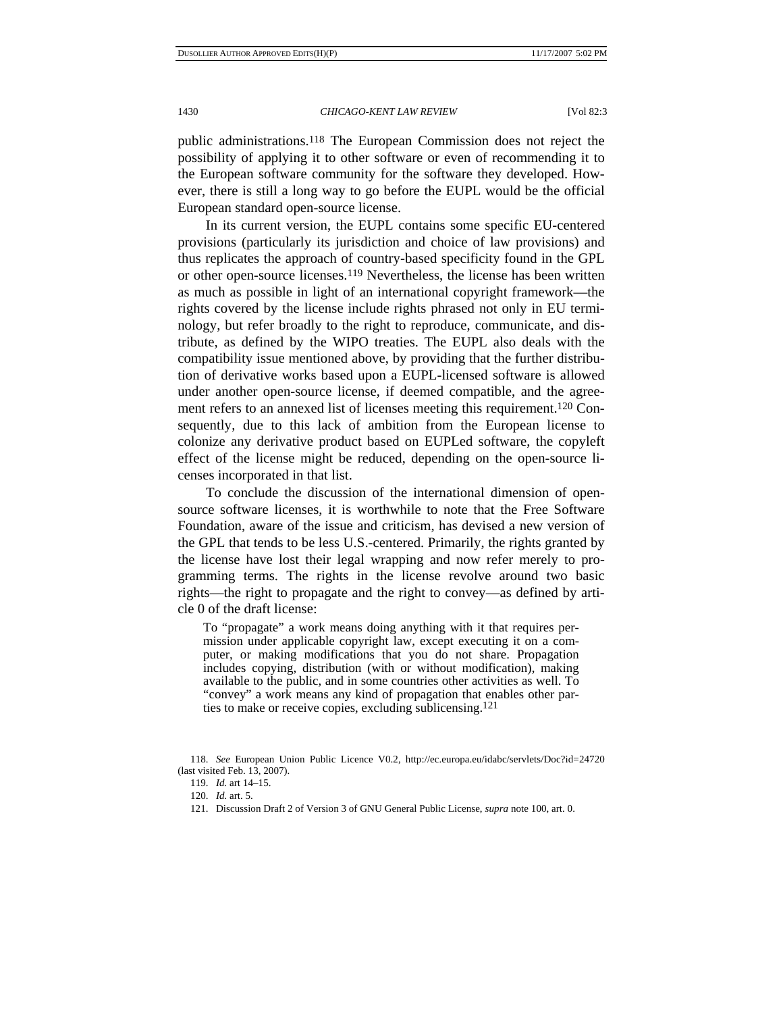public administrations.118 The European Commission does not reject the possibility of applying it to other software or even of recommending it to the European software community for the software they developed. However, there is still a long way to go before the EUPL would be the official European standard open-source license.

In its current version, the EUPL contains some specific EU-centered provisions (particularly its jurisdiction and choice of law provisions) and thus replicates the approach of country-based specificity found in the GPL or other open-source licenses.119 Nevertheless, the license has been written as much as possible in light of an international copyright framework—the rights covered by the license include rights phrased not only in EU terminology, but refer broadly to the right to reproduce, communicate, and distribute, as defined by the WIPO treaties. The EUPL also deals with the compatibility issue mentioned above, by providing that the further distribution of derivative works based upon a EUPL-licensed software is allowed under another open-source license, if deemed compatible, and the agreement refers to an annexed list of licenses meeting this requirement.<sup>120</sup> Consequently, due to this lack of ambition from the European license to colonize any derivative product based on EUPLed software, the copyleft effect of the license might be reduced, depending on the open-source licenses incorporated in that list.

To conclude the discussion of the international dimension of opensource software licenses, it is worthwhile to note that the Free Software Foundation, aware of the issue and criticism, has devised a new version of the GPL that tends to be less U.S.-centered. Primarily, the rights granted by the license have lost their legal wrapping and now refer merely to programming terms. The rights in the license revolve around two basic rights—the right to propagate and the right to convey—as defined by article 0 of the draft license:

To "propagate" a work means doing anything with it that requires permission under applicable copyright law, except executing it on a computer, or making modifications that you do not share. Propagation includes copying, distribution (with or without modification), making available to the public, and in some countries other activities as well. To "convey" a work means any kind of propagation that enables other parties to make or receive copies, excluding sublicensing.121

 <sup>118.</sup> *See* European Union Public Licence V0.2, http://ec.europa.eu/idabc/servlets/Doc?id=24720 (last visited Feb. 13, 2007).

 <sup>119.</sup> *Id.* art 14–15.

 <sup>120.</sup> *Id.* art. 5.

 <sup>121.</sup> Discussion Draft 2 of Version 3 of GNU General Public License, *supra* note 100, art. 0.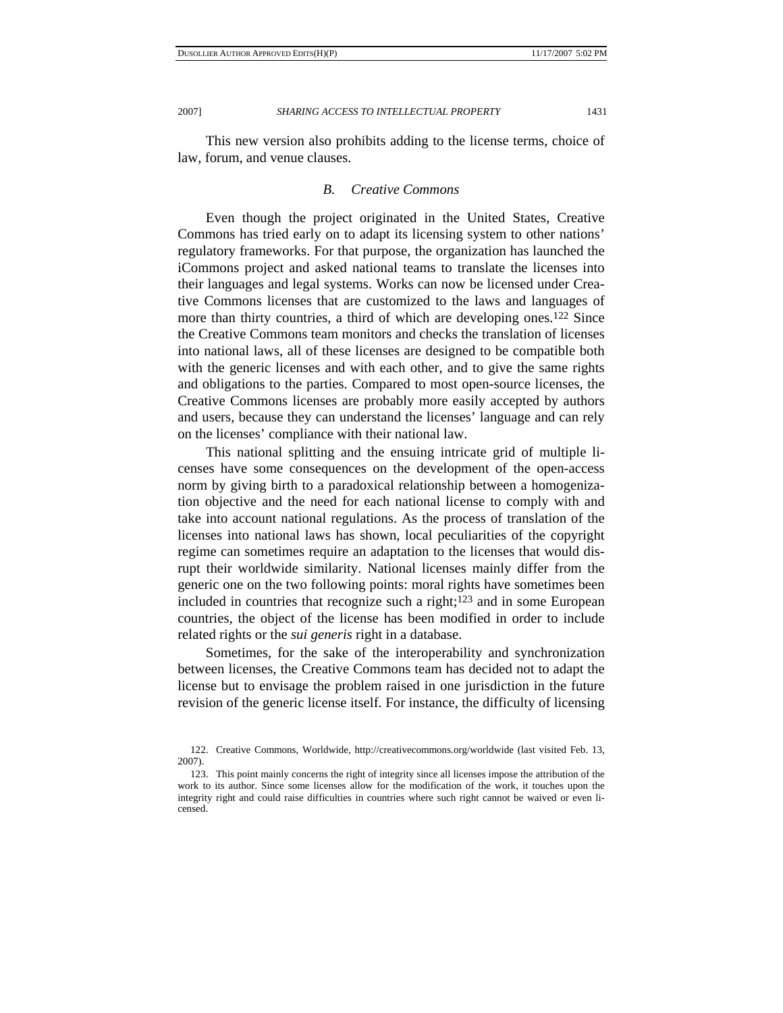This new version also prohibits adding to the license terms, choice of law, forum, and venue clauses.

# *B. Creative Commons*

Even though the project originated in the United States, Creative Commons has tried early on to adapt its licensing system to other nations' regulatory frameworks. For that purpose, the organization has launched the iCommons project and asked national teams to translate the licenses into their languages and legal systems. Works can now be licensed under Creative Commons licenses that are customized to the laws and languages of more than thirty countries, a third of which are developing ones.122 Since the Creative Commons team monitors and checks the translation of licenses into national laws, all of these licenses are designed to be compatible both with the generic licenses and with each other, and to give the same rights and obligations to the parties. Compared to most open-source licenses, the Creative Commons licenses are probably more easily accepted by authors and users, because they can understand the licenses' language and can rely on the licenses' compliance with their national law.

This national splitting and the ensuing intricate grid of multiple licenses have some consequences on the development of the open-access norm by giving birth to a paradoxical relationship between a homogenization objective and the need for each national license to comply with and take into account national regulations. As the process of translation of the licenses into national laws has shown, local peculiarities of the copyright regime can sometimes require an adaptation to the licenses that would disrupt their worldwide similarity. National licenses mainly differ from the generic one on the two following points: moral rights have sometimes been included in countries that recognize such a right; $123$  and in some European countries, the object of the license has been modified in order to include related rights or the *sui generis* right in a database.

Sometimes, for the sake of the interoperability and synchronization between licenses, the Creative Commons team has decided not to adapt the license but to envisage the problem raised in one jurisdiction in the future revision of the generic license itself. For instance, the difficulty of licensing

 <sup>122.</sup> Creative Commons, Worldwide, http://creativecommons.org/worldwide (last visited Feb. 13, 2007).

 <sup>123.</sup> This point mainly concerns the right of integrity since all licenses impose the attribution of the work to its author. Since some licenses allow for the modification of the work, it touches upon the integrity right and could raise difficulties in countries where such right cannot be waived or even licensed.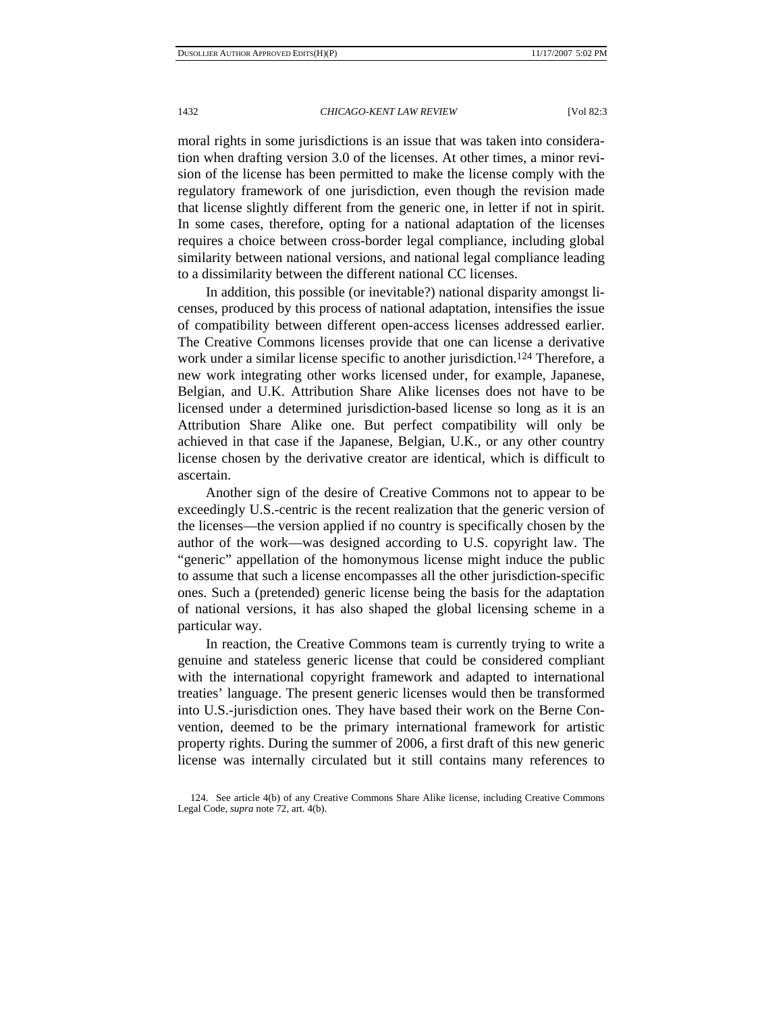moral rights in some jurisdictions is an issue that was taken into consideration when drafting version 3.0 of the licenses. At other times, a minor revision of the license has been permitted to make the license comply with the regulatory framework of one jurisdiction, even though the revision made that license slightly different from the generic one, in letter if not in spirit. In some cases, therefore, opting for a national adaptation of the licenses requires a choice between cross-border legal compliance, including global similarity between national versions, and national legal compliance leading to a dissimilarity between the different national CC licenses.

In addition, this possible (or inevitable?) national disparity amongst licenses, produced by this process of national adaptation, intensifies the issue of compatibility between different open-access licenses addressed earlier. The Creative Commons licenses provide that one can license a derivative work under a similar license specific to another jurisdiction.124 Therefore, a new work integrating other works licensed under, for example, Japanese, Belgian, and U.K. Attribution Share Alike licenses does not have to be licensed under a determined jurisdiction-based license so long as it is an Attribution Share Alike one. But perfect compatibility will only be achieved in that case if the Japanese, Belgian, U.K., or any other country license chosen by the derivative creator are identical, which is difficult to ascertain.

Another sign of the desire of Creative Commons not to appear to be exceedingly U.S.-centric is the recent realization that the generic version of the licenses—the version applied if no country is specifically chosen by the author of the work—was designed according to U.S. copyright law. The "generic" appellation of the homonymous license might induce the public to assume that such a license encompasses all the other jurisdiction-specific ones. Such a (pretended) generic license being the basis for the adaptation of national versions, it has also shaped the global licensing scheme in a particular way.

In reaction, the Creative Commons team is currently trying to write a genuine and stateless generic license that could be considered compliant with the international copyright framework and adapted to international treaties' language. The present generic licenses would then be transformed into U.S.-jurisdiction ones. They have based their work on the Berne Convention, deemed to be the primary international framework for artistic property rights. During the summer of 2006, a first draft of this new generic license was internally circulated but it still contains many references to

 <sup>124.</sup> See article 4(b) of any Creative Commons Share Alike license, including Creative Commons Legal Code, *supra* note 72, art. 4(b).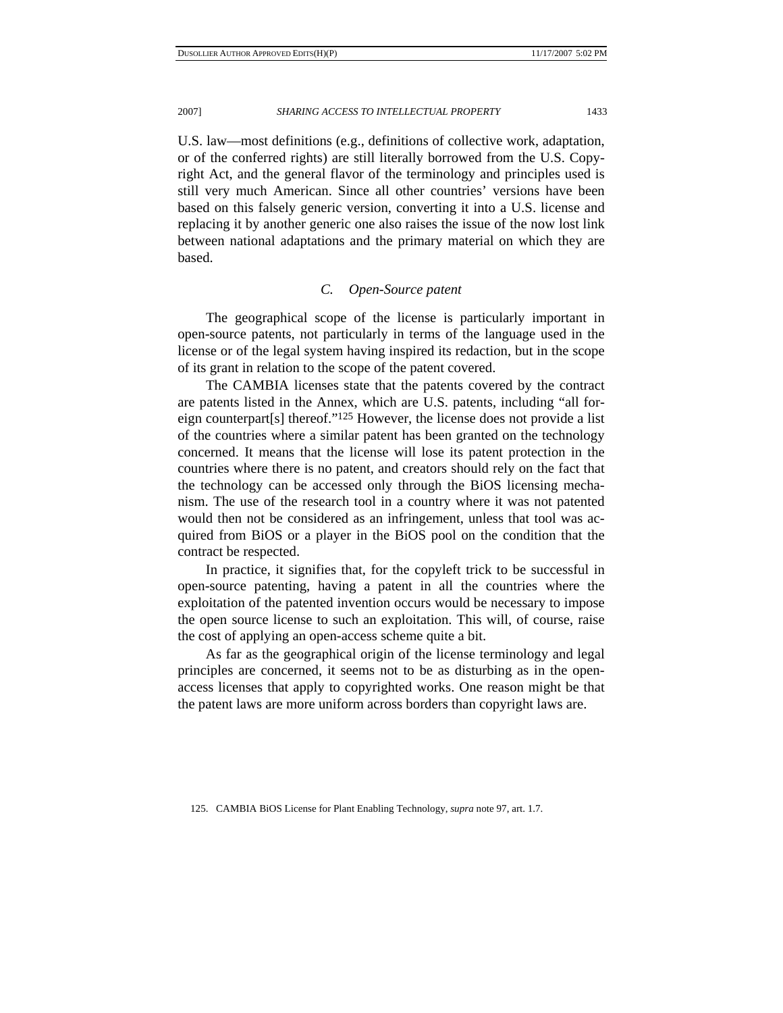U.S. law—most definitions (e.g., definitions of collective work, adaptation, or of the conferred rights) are still literally borrowed from the U.S. Copyright Act, and the general flavor of the terminology and principles used is still very much American. Since all other countries' versions have been based on this falsely generic version, converting it into a U.S. license and replacing it by another generic one also raises the issue of the now lost link between national adaptations and the primary material on which they are based.

## *C. Open-Source patent*

The geographical scope of the license is particularly important in open-source patents, not particularly in terms of the language used in the license or of the legal system having inspired its redaction, but in the scope of its grant in relation to the scope of the patent covered.

The CAMBIA licenses state that the patents covered by the contract are patents listed in the Annex, which are U.S. patents, including "all foreign counterpart[s] thereof."125 However, the license does not provide a list of the countries where a similar patent has been granted on the technology concerned. It means that the license will lose its patent protection in the countries where there is no patent, and creators should rely on the fact that the technology can be accessed only through the BiOS licensing mechanism. The use of the research tool in a country where it was not patented would then not be considered as an infringement, unless that tool was acquired from BiOS or a player in the BiOS pool on the condition that the contract be respected.

In practice, it signifies that, for the copyleft trick to be successful in open-source patenting, having a patent in all the countries where the exploitation of the patented invention occurs would be necessary to impose the open source license to such an exploitation. This will, of course, raise the cost of applying an open-access scheme quite a bit.

As far as the geographical origin of the license terminology and legal principles are concerned, it seems not to be as disturbing as in the openaccess licenses that apply to copyrighted works. One reason might be that the patent laws are more uniform across borders than copyright laws are.

125. CAMBIA BiOS License for Plant Enabling Technology, *supra* note 97, art. 1.7.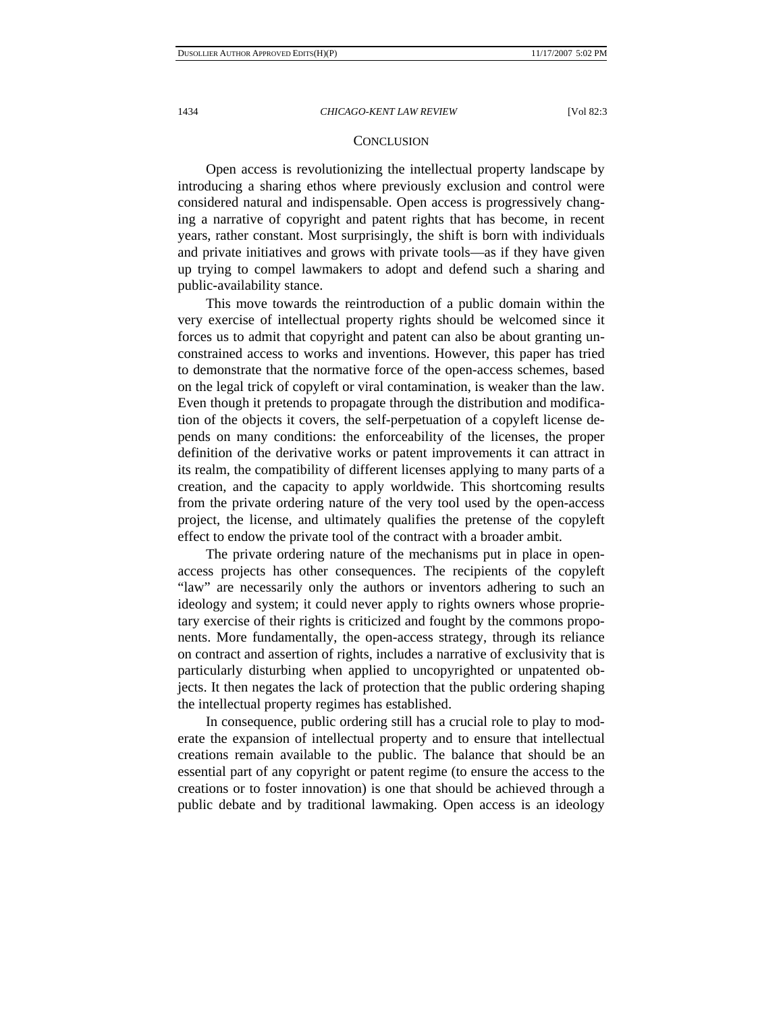## **CONCLUSION**

Open access is revolutionizing the intellectual property landscape by introducing a sharing ethos where previously exclusion and control were considered natural and indispensable. Open access is progressively changing a narrative of copyright and patent rights that has become, in recent years, rather constant. Most surprisingly, the shift is born with individuals and private initiatives and grows with private tools—as if they have given up trying to compel lawmakers to adopt and defend such a sharing and public-availability stance.

This move towards the reintroduction of a public domain within the very exercise of intellectual property rights should be welcomed since it forces us to admit that copyright and patent can also be about granting unconstrained access to works and inventions. However, this paper has tried to demonstrate that the normative force of the open-access schemes, based on the legal trick of copyleft or viral contamination, is weaker than the law. Even though it pretends to propagate through the distribution and modification of the objects it covers, the self-perpetuation of a copyleft license depends on many conditions: the enforceability of the licenses, the proper definition of the derivative works or patent improvements it can attract in its realm, the compatibility of different licenses applying to many parts of a creation, and the capacity to apply worldwide. This shortcoming results from the private ordering nature of the very tool used by the open-access project, the license, and ultimately qualifies the pretense of the copyleft effect to endow the private tool of the contract with a broader ambit.

The private ordering nature of the mechanisms put in place in openaccess projects has other consequences. The recipients of the copyleft "law" are necessarily only the authors or inventors adhering to such an ideology and system; it could never apply to rights owners whose proprietary exercise of their rights is criticized and fought by the commons proponents. More fundamentally, the open-access strategy, through its reliance on contract and assertion of rights, includes a narrative of exclusivity that is particularly disturbing when applied to uncopyrighted or unpatented objects. It then negates the lack of protection that the public ordering shaping the intellectual property regimes has established.

In consequence, public ordering still has a crucial role to play to moderate the expansion of intellectual property and to ensure that intellectual creations remain available to the public. The balance that should be an essential part of any copyright or patent regime (to ensure the access to the creations or to foster innovation) is one that should be achieved through a public debate and by traditional lawmaking. Open access is an ideology